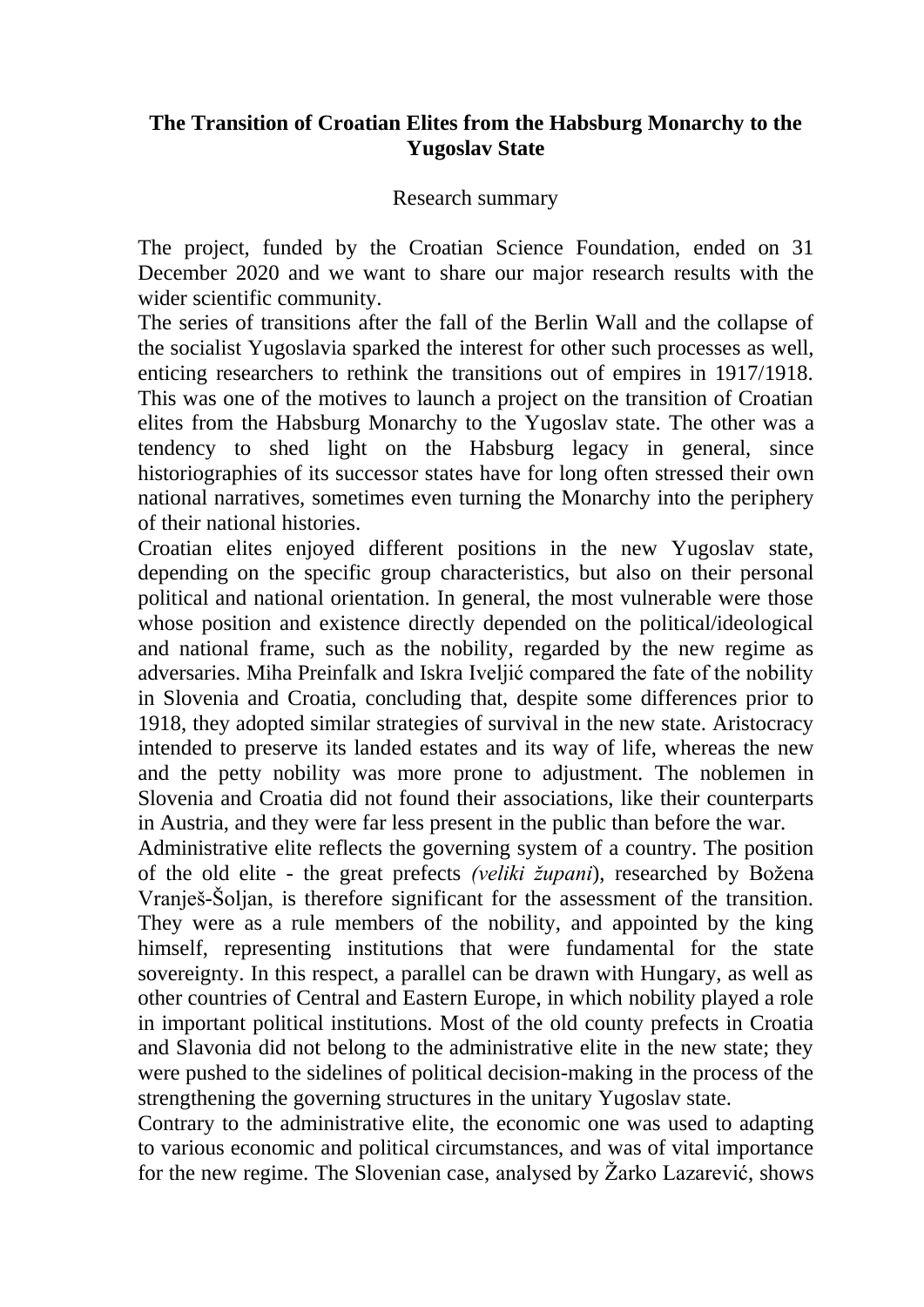## **The Transition of Croatian Elites from the Habsburg Monarchy to the Yugoslav State**

#### Research summary

The project, funded by the Croatian Science Foundation, ended on 31 December 2020 and we want to share our major research results with the wider scientific community.

The series of transitions after the fall of the Berlin Wall and the collapse of the socialist Yugoslavia sparked the interest for other such processes as well, enticing researchers to rethink the transitions out of empires in 1917/1918. This was one of the motives to launch a project on the transition of Croatian elites from the Habsburg Monarchy to the Yugoslav state. The other was a tendency to shed light on the Habsburg legacy in general, since historiographies of its successor states have for long often stressed their own national narratives, sometimes even turning the Monarchy into the periphery of their national histories.

Croatian elites enjoyed different positions in the new Yugoslav state, depending on the specific group characteristics, but also on their personal political and national orientation. In general, the most vulnerable were those whose position and existence directly depended on the political/ideological and national frame, such as the nobility, regarded by the new regime as adversaries. Miha Preinfalk and Iskra Iveljić compared the fate of the nobility in Slovenia and Croatia, concluding that, despite some differences prior to 1918, they adopted similar strategies of survival in the new state. Aristocracy intended to preserve its landed estates and its way of life, whereas the new and the petty nobility was more prone to adjustment. The noblemen in Slovenia and Croatia did not found their associations, like their counterparts in Austria, and they were far less present in the public than before the war.

Administrative elite reflects the governing system of a country. The position of the old elite - the great prefects *(veliki župani*), researched by Božena Vranješ-Šoljan, is therefore significant for the assessment of the transition. They were as a rule members of the nobility, and appointed by the king himself, representing institutions that were fundamental for the state sovereignty. In this respect, a parallel can be drawn with Hungary, as well as other countries of Central and Eastern Europe, in which nobility played a role in important political institutions. Most of the old county prefects in Croatia and Slavonia did not belong to the administrative elite in the new state; they were pushed to the sidelines of political decision-making in the process of the strengthening the governing structures in the unitary Yugoslav state.

Contrary to the administrative elite, the economic one was used to adapting to various economic and political circumstances, and was of vital importance for the new regime. The Slovenian case, analysed by Žarko Lazarević, shows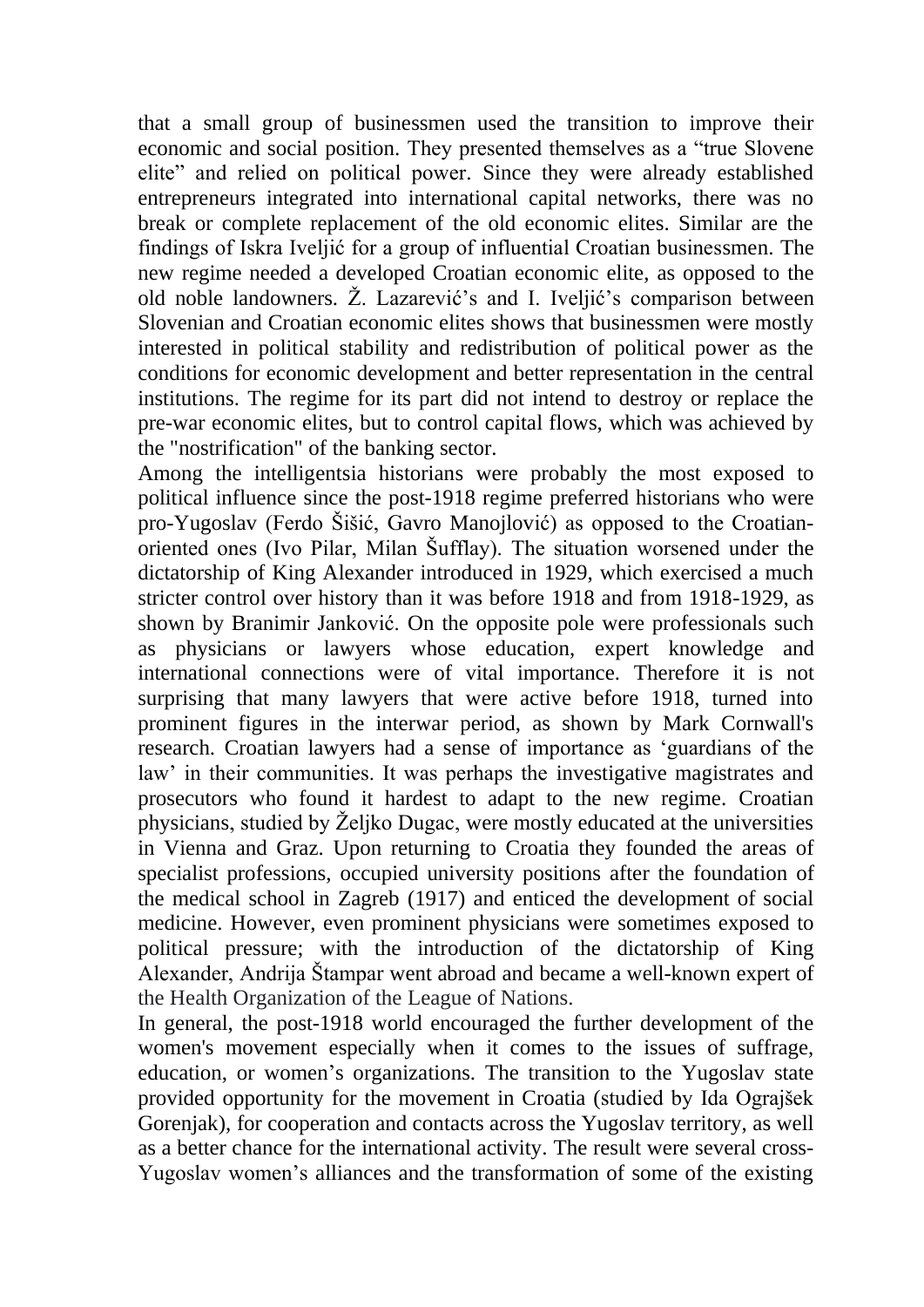that a small group of businessmen used the transition to improve their economic and social position. They presented themselves as a "true Slovene elite" and relied on political power. Since they were already established entrepreneurs integrated into international capital networks, there was no break or complete replacement of the old economic elites. Similar are the findings of Iskra Iveljić for a group of influential Croatian businessmen. The new regime needed a developed Croatian economic elite, as opposed to the old noble landowners. Ž. Lazarević's and I. Iveljić's comparison between Slovenian and Croatian economic elites shows that businessmen were mostly interested in political stability and redistribution of political power as the conditions for economic development and better representation in the central institutions. The regime for its part did not intend to destroy or replace the pre-war economic elites, but to control capital flows, which was achieved by the "nostrification" of the banking sector.

Among the intelligentsia historians were probably the most exposed to political influence since the post-1918 regime preferred historians who were pro-Yugoslav (Ferdo Šišić, Gavro Manojlović) as opposed to the Croatianoriented ones (Ivo Pilar, Milan Šufflay). The situation worsened under the dictatorship of King Alexander introduced in 1929, which exercised a much stricter control over history than it was before 1918 and from 1918-1929, as shown by Branimir Janković. On the opposite pole were professionals such as physicians or lawyers whose education, expert knowledge and international connections were of vital importance. Therefore it is not surprising that many lawyers that were active before 1918, turned into prominent figures in the interwar period, as shown by Mark Cornwall's research. Croatian lawyers had a sense of importance as 'guardians of the law' in their communities. It was perhaps the investigative magistrates and prosecutors who found it hardest to adapt to the new regime. Croatian physicians, studied by Željko Dugac, were mostly educated at the universities in Vienna and Graz. Upon returning to Croatia they founded the areas of specialist professions, occupied university positions after the foundation of the medical school in Zagreb (1917) and enticed the development of social medicine. However, even prominent physicians were sometimes exposed to political pressure; with the introduction of the dictatorship of King Alexander, Andrija Štampar went abroad and became a well-known expert of the Health Organization of the League of Nations.

In general, the post-1918 world encouraged the further development of the women's movement especially when it comes to the issues of suffrage, education, or women's organizations. The transition to the Yugoslav state provided opportunity for the movement in Croatia (studied by Ida Ograjšek Gorenjak), for cooperation and contacts across the Yugoslav territory, as well as a better chance for the international activity. The result were several cross-Yugoslav women's alliances and the transformation of some of the existing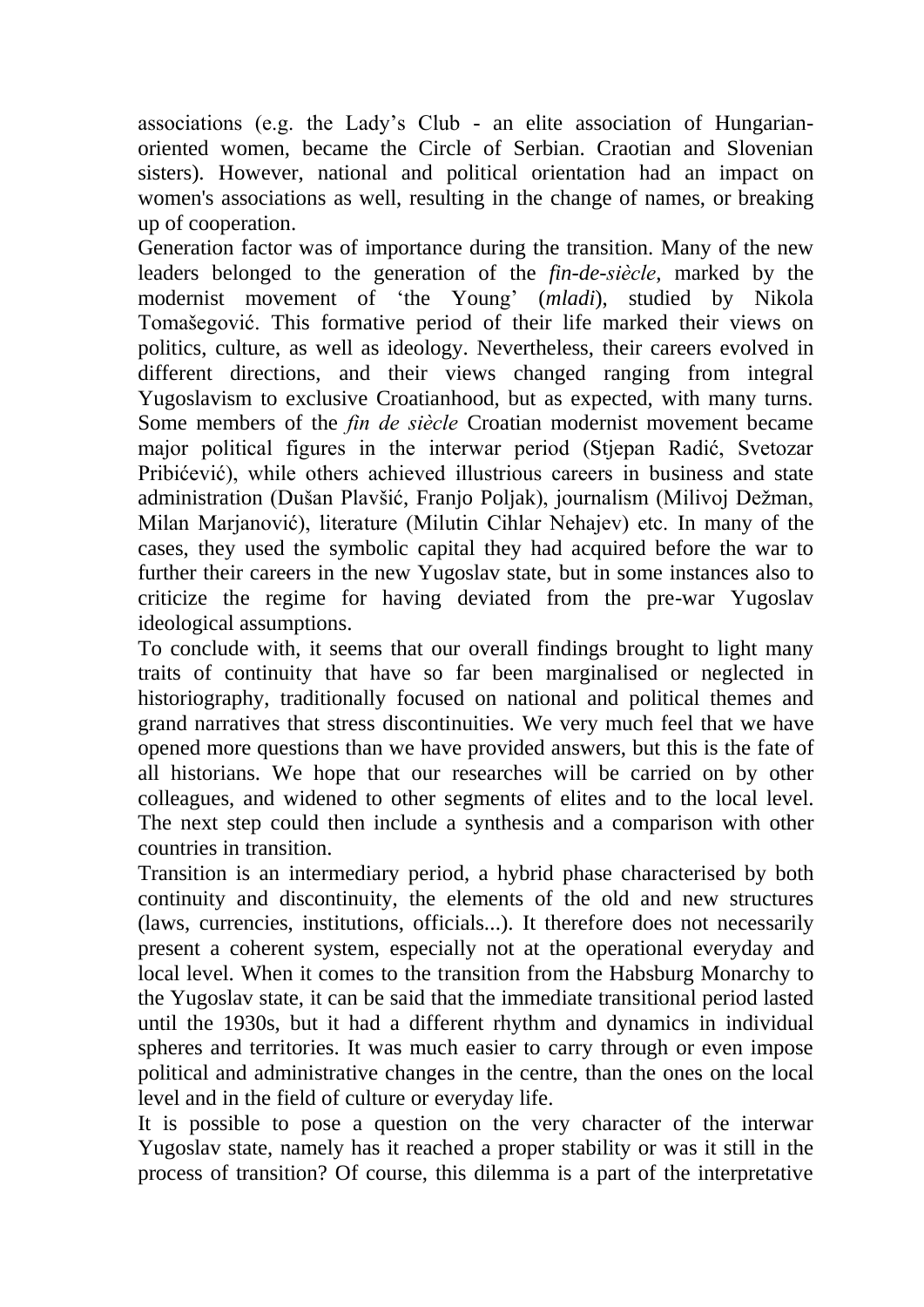associations (e.g. the Lady's Club - an elite association of Hungarianoriented women, became the Circle of Serbian. Craotian and Slovenian sisters). However, national and political orientation had an impact on women's associations as well, resulting in the change of names, or breaking up of cooperation.

Generation factor was of importance during the transition. Many of the new leaders belonged to the generation of the *fin-de-siècle*, marked by the modernist movement of 'the Young' (*mladi*), studied by Nikola Tomašegović. This formative period of their life marked their views on politics, culture, as well as ideology. Nevertheless, their careers evolved in different directions, and their views changed ranging from integral Yugoslavism to exclusive Croatianhood, but as expected, with many turns. Some members of the *fin de siècle* Croatian modernist movement became major political figures in the interwar period (Stjepan Radić, Svetozar Pribićević), while others achieved illustrious careers in business and state administration (Dušan Plavšić, Franjo Poljak), journalism (Milivoj Dežman, Milan Marjanović), literature (Milutin Cihlar Nehajev) etc. In many of the cases, they used the symbolic capital they had acquired before the war to further their careers in the new Yugoslav state, but in some instances also to criticize the regime for having deviated from the pre-war Yugoslav ideological assumptions.

To conclude with, it seems that our overall findings brought to light many traits of continuity that have so far been marginalised or neglected in historiography, traditionally focused on national and political themes and grand narratives that stress discontinuities. We very much feel that we have opened more questions than we have provided answers, but this is the fate of all historians. We hope that our researches will be carried on by other colleagues, and widened to other segments of elites and to the local level. The next step could then include a synthesis and a comparison with other countries in transition.

Transition is an intermediary period, a hybrid phase characterised by both continuity and discontinuity, the elements of the old and new structures (laws, currencies, institutions, officials...). It therefore does not necessarily present a coherent system, especially not at the operational everyday and local level. When it comes to the transition from the Habsburg Monarchy to the Yugoslav state, it can be said that the immediate transitional period lasted until the 1930s, but it had a different rhythm and dynamics in individual spheres and territories. It was much easier to carry through or even impose political and administrative changes in the centre, than the ones on the local level and in the field of culture or everyday life.

It is possible to pose a question on the very character of the interwar Yugoslav state, namely has it reached a proper stability or was it still in the process of transition? Of course, this dilemma is a part of the interpretative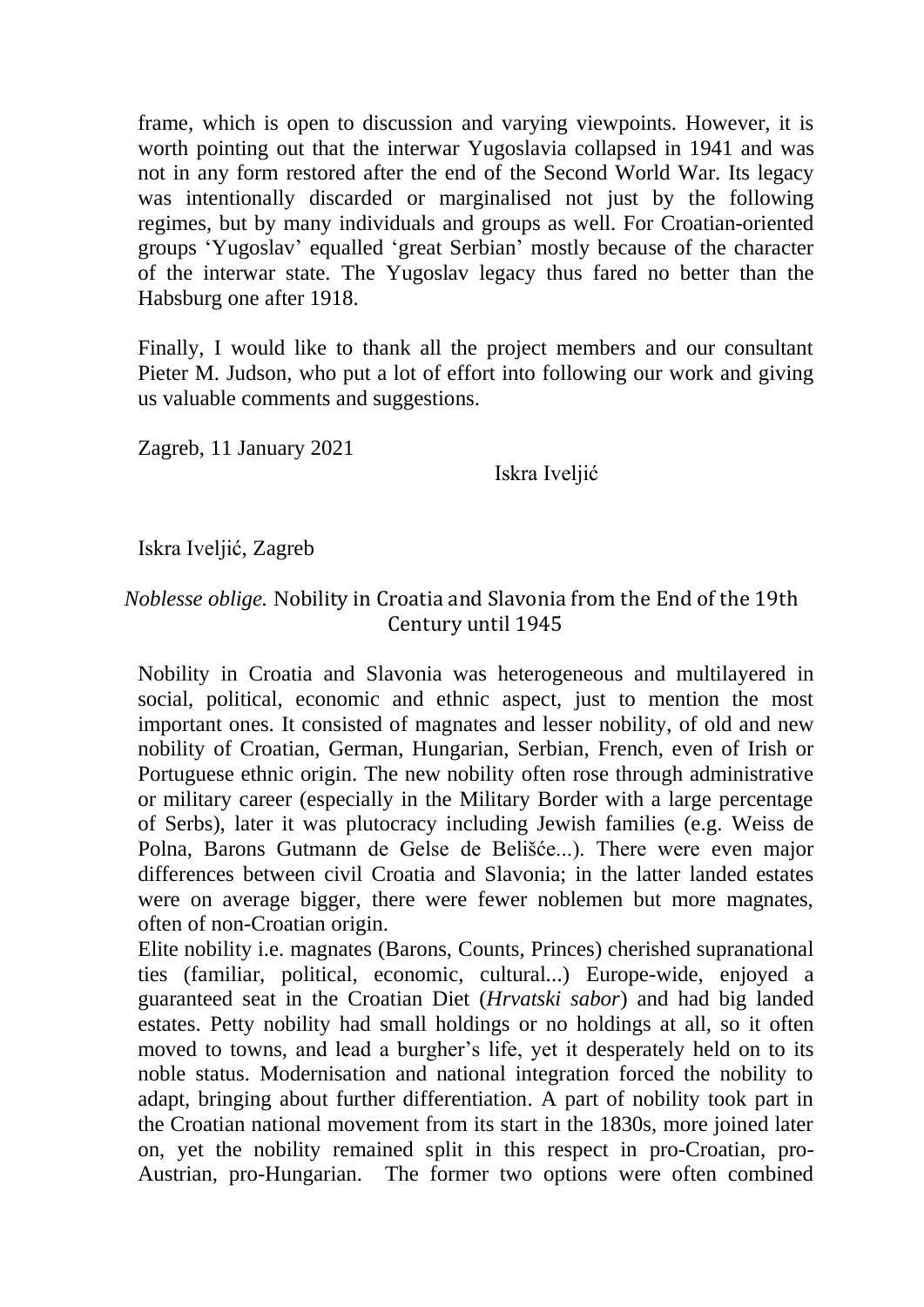frame, which is open to discussion and varying viewpoints. However, it is worth pointing out that the interwar Yugoslavia collapsed in 1941 and was not in any form restored after the end of the Second World War. Its legacy was intentionally discarded or marginalised not just by the following regimes, but by many individuals and groups as well. For Croatian-oriented groups 'Yugoslav' equalled 'great Serbian' mostly because of the character of the interwar state. The Yugoslav legacy thus fared no better than the Habsburg one after 1918.

Finally, I would like to thank all the project members and our consultant Pieter M. Judson, who put a lot of effort into following our work and giving us valuable comments and suggestions.

Zagreb, 11 January 2021

Iskra Iveljić

Iskra Iveljić, Zagreb

# *Noblesse oblige.* Nobility in Croatia and Slavonia from the End of the 19th Century until 1945

Nobility in Croatia and Slavonia was heterogeneous and multilayered in social, political, economic and ethnic aspect, just to mention the most important ones. It consisted of magnates and lesser nobility, of old and new nobility of Croatian, German, Hungarian, Serbian, French, even of Irish or Portuguese ethnic origin. The new nobility often rose through administrative or military career (especially in the Military Border with a large percentage of Serbs), later it was plutocracy including Jewish families (e.g. Weiss de Polna, Barons Gutmann de Gelse de Belišće...). There were even major differences between civil Croatia and Slavonia; in the latter landed estates were on average bigger, there were fewer noblemen but more magnates, often of non-Croatian origin.

Elite nobility i.e. magnates (Barons, Counts, Princes) cherished supranational ties (familiar, political, economic, cultural...) Europe-wide, enjoyed a guaranteed seat in the Croatian Diet (*Hrvatski sabor*) and had big landed estates. Petty nobility had small holdings or no holdings at all, so it often moved to towns, and lead a burgher's life, yet it desperately held on to its noble status. Modernisation and national integration forced the nobility to adapt, bringing about further differentiation. A part of nobility took part in the Croatian national movement from its start in the 1830s, more joined later on, yet the nobility remained split in this respect in pro-Croatian, pro-Austrian, pro-Hungarian. The former two options were often combined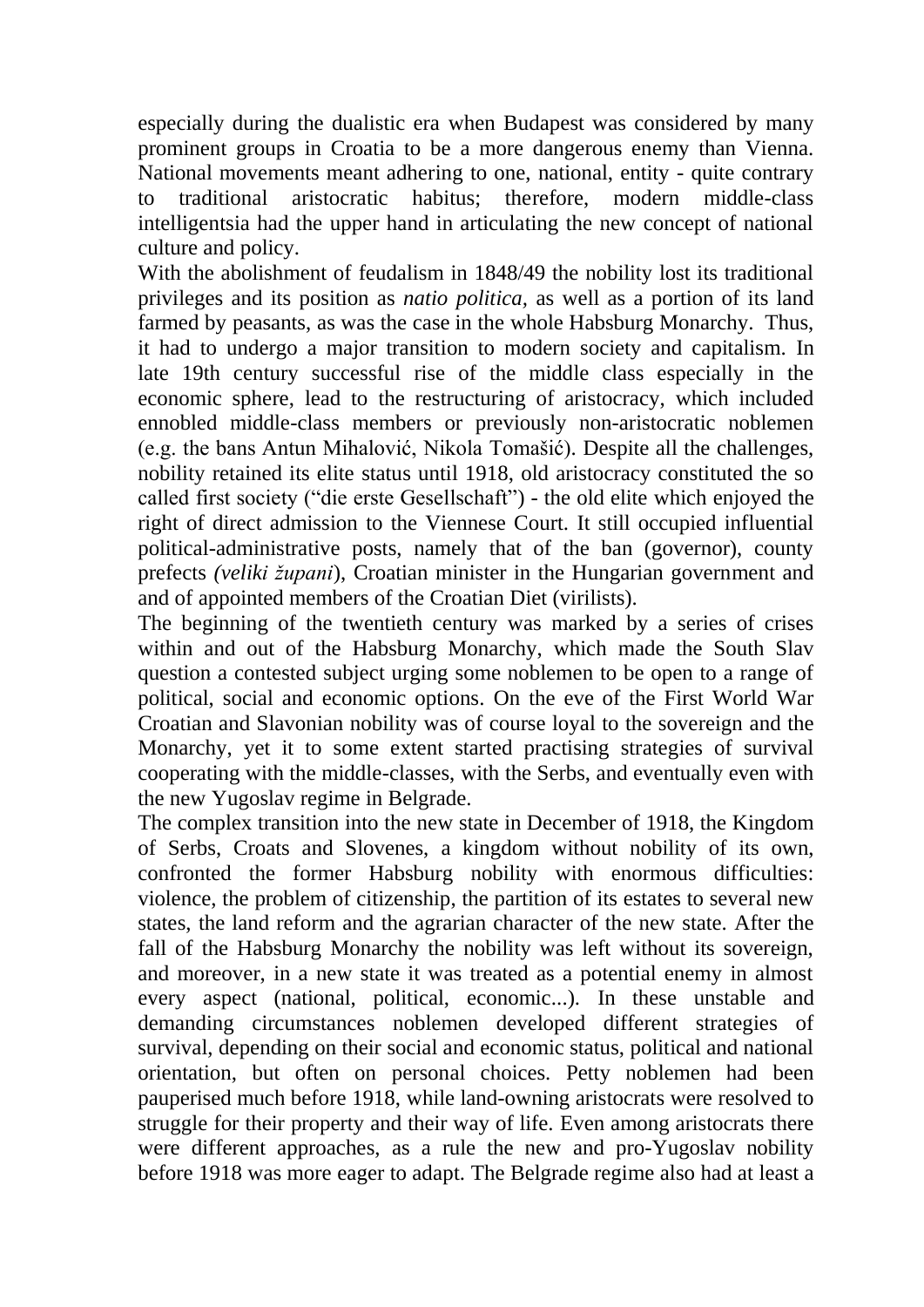especially during the dualistic era when Budapest was considered by many prominent groups in Croatia to be a more dangerous enemy than Vienna. National movements meant adhering to one, national, entity - quite contrary to traditional aristocratic habitus; therefore, modern middle-class intelligentsia had the upper hand in articulating the new concept of national culture and policy.

With the abolishment of feudalism in 1848/49 the nobility lost its traditional privileges and its position as *natio politica,* as well as a portion of its land farmed by peasants, as was the case in the whole Habsburg Monarchy. Thus, it had to undergo a major transition to modern society and capitalism. In late 19th century successful rise of the middle class especially in the economic sphere, lead to the restructuring of aristocracy, which included ennobled middle-class members or previously non-aristocratic noblemen (e.g. the bans Antun Mihalović, Nikola Tomašić). Despite all the challenges, nobility retained its elite status until 1918, old aristocracy constituted the so called first society ("die erste Gesellschaft") - the old elite which enjoyed the right of direct admission to the Viennese Court. It still occupied influential political-administrative posts, namely that of the ban (governor), county prefects *(veliki župani*), Croatian minister in the Hungarian government and and of appointed members of the Croatian Diet (virilists).

The beginning of the twentieth century was marked by a series of crises within and out of the Habsburg Monarchy, which made the South Slav question a contested subject urging some noblemen to be open to a range of political, social and economic options. On the eve of the First World War Croatian and Slavonian nobility was of course loyal to the sovereign and the Monarchy, yet it to some extent started practising strategies of survival cooperating with the middle-classes, with the Serbs, and eventually even with the new Yugoslav regime in Belgrade.

The complex transition into the new state in December of 1918, the Kingdom of Serbs, Croats and Slovenes, a kingdom without nobility of its own, confronted the former Habsburg nobility with enormous difficulties: violence, the problem of citizenship, the partition of its estates to several new states, the land reform and the agrarian character of the new state. After the fall of the Habsburg Monarchy the nobility was left without its sovereign, and moreover, in a new state it was treated as a potential enemy in almost every aspect (national, political, economic...). In these unstable and demanding circumstances noblemen developed different strategies of survival, depending on their social and economic status, political and national orientation, but often on personal choices. Petty noblemen had been pauperised much before 1918, while land-owning aristocrats were resolved to struggle for their property and their way of life. Even among aristocrats there were different approaches, as a rule the new and pro-Yugoslav nobility before 1918 was more eager to adapt. The Belgrade regime also had at least a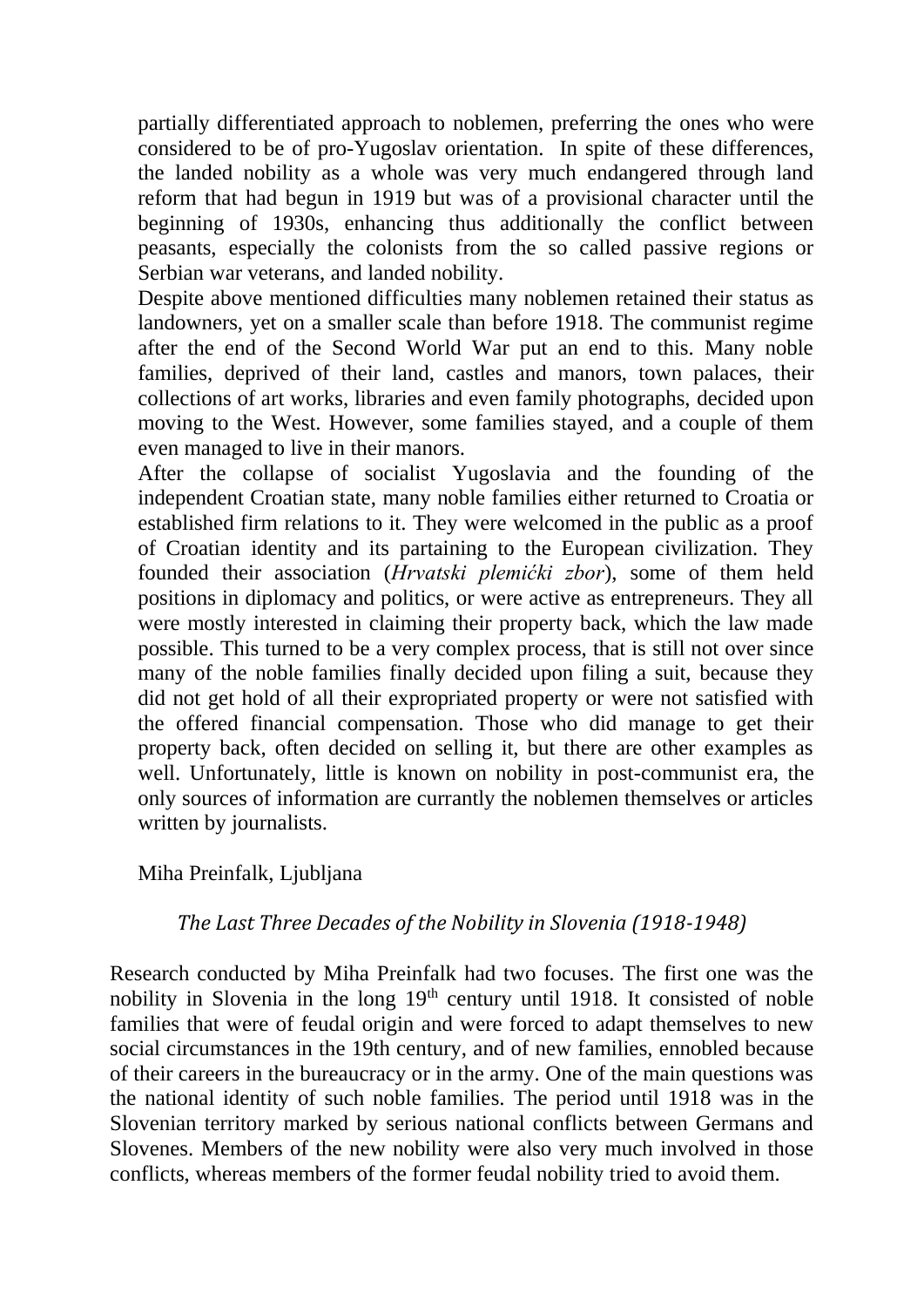partially differentiated approach to noblemen, preferring the ones who were considered to be of pro-Yugoslav orientation. In spite of these differences, the landed nobility as a whole was very much endangered through land reform that had begun in 1919 but was of a provisional character until the beginning of 1930s, enhancing thus additionally the conflict between peasants, especially the colonists from the so called passive regions or Serbian war veterans, and landed nobility.

Despite above mentioned difficulties many noblemen retained their status as landowners, yet on a smaller scale than before 1918. The communist regime after the end of the Second World War put an end to this. Many noble families, deprived of their land, castles and manors, town palaces, their collections of art works, libraries and even family photographs, decided upon moving to the West. However, some families stayed, and a couple of them even managed to live in their manors.

After the collapse of socialist Yugoslavia and the founding of the independent Croatian state, many noble families either returned to Croatia or established firm relations to it. They were welcomed in the public as a proof of Croatian identity and its partaining to the European civilization. They founded their association (*Hrvatski plemićki zbor*), some of them held positions in diplomacy and politics, or were active as entrepreneurs. They all were mostly interested in claiming their property back, which the law made possible. This turned to be a very complex process, that is still not over since many of the noble families finally decided upon filing a suit, because they did not get hold of all their expropriated property or were not satisfied with the offered financial compensation. Those who did manage to get their property back, often decided on selling it, but there are other examples as well. Unfortunately, little is known on nobility in post-communist era, the only sources of information are currantly the noblemen themselves or articles written by journalists.

## Miha Preinfalk, Ljubljana

## *The Last Three Decades of the Nobility in Slovenia (1918-1948)*

Research conducted by Miha Preinfalk had two focuses. The first one was the nobility in Slovenia in the long 19<sup>th</sup> century until 1918. It consisted of noble families that were of feudal origin and were forced to adapt themselves to new social circumstances in the 19th century, and of new families, ennobled because of their careers in the bureaucracy or in the army. One of the main questions was the national identity of such noble families. The period until 1918 was in the Slovenian territory marked by serious national conflicts between Germans and Slovenes. Members of the new nobility were also very much involved in those conflicts, whereas members of the former feudal nobility tried to avoid them.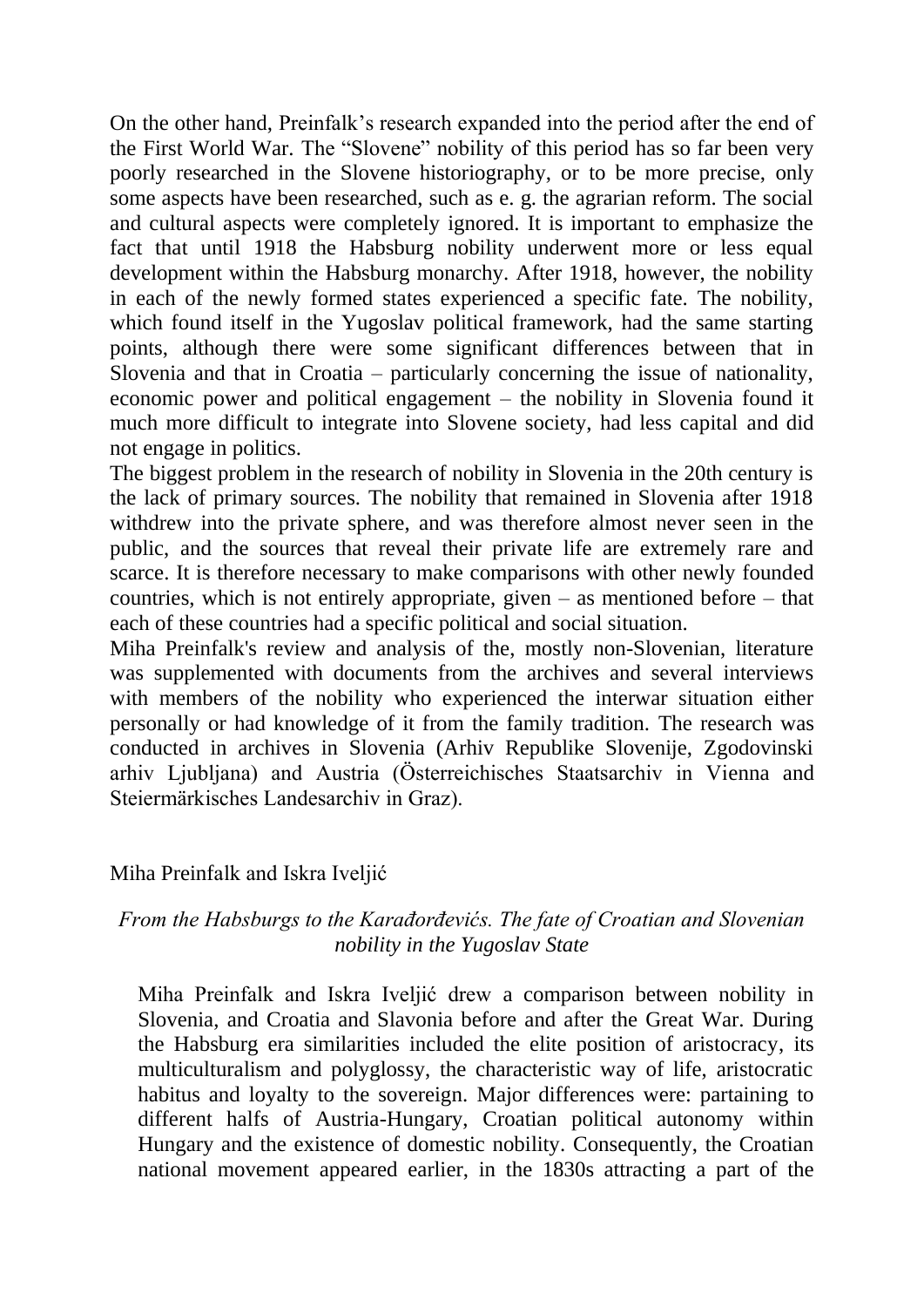On the other hand, Preinfalk's research expanded into the period after the end of the First World War. The "Slovene" nobility of this period has so far been very poorly researched in the Slovene historiography, or to be more precise, only some aspects have been researched, such as e. g. the agrarian reform. The social and cultural aspects were completely ignored. It is important to emphasize the fact that until 1918 the Habsburg nobility underwent more or less equal development within the Habsburg monarchy. After 1918, however, the nobility in each of the newly formed states experienced a specific fate. The nobility, which found itself in the Yugoslav political framework, had the same starting points, although there were some significant differences between that in Slovenia and that in Croatia – particularly concerning the issue of nationality, economic power and political engagement – the nobility in Slovenia found it much more difficult to integrate into Slovene society, had less capital and did not engage in politics.

The biggest problem in the research of nobility in Slovenia in the 20th century is the lack of primary sources. The nobility that remained in Slovenia after 1918 withdrew into the private sphere, and was therefore almost never seen in the public, and the sources that reveal their private life are extremely rare and scarce. It is therefore necessary to make comparisons with other newly founded countries, which is not entirely appropriate, given  $-$  as mentioned before  $-$  that each of these countries had a specific political and social situation.

Miha Preinfalk's review and analysis of the, mostly non-Slovenian, literature was supplemented with documents from the archives and several interviews with members of the nobility who experienced the interwar situation either personally or had knowledge of it from the family tradition. The research was conducted in archives in Slovenia (Arhiv Republike Slovenije, Zgodovinski arhiv Ljubljana) and Austria (Österreichisches Staatsarchiv in Vienna and Steiermärkisches Landesarchiv in Graz).

## Miha Preinfalk and Iskra Iveljić

## *From the Habsburgs to the Karađorđevićs. The fate of Croatian and Slovenian nobility in the Yugoslav State*

Miha Preinfalk and Iskra Iveljić drew a comparison between nobility in Slovenia, and Croatia and Slavonia before and after the Great War. During the Habsburg era similarities included the elite position of aristocracy, its multiculturalism and polyglossy, the characteristic way of life, aristocratic habitus and loyalty to the sovereign. Major differences were: partaining to different halfs of Austria-Hungary, Croatian political autonomy within Hungary and the existence of domestic nobility. Consequently, the Croatian national movement appeared earlier, in the 1830s attracting a part of the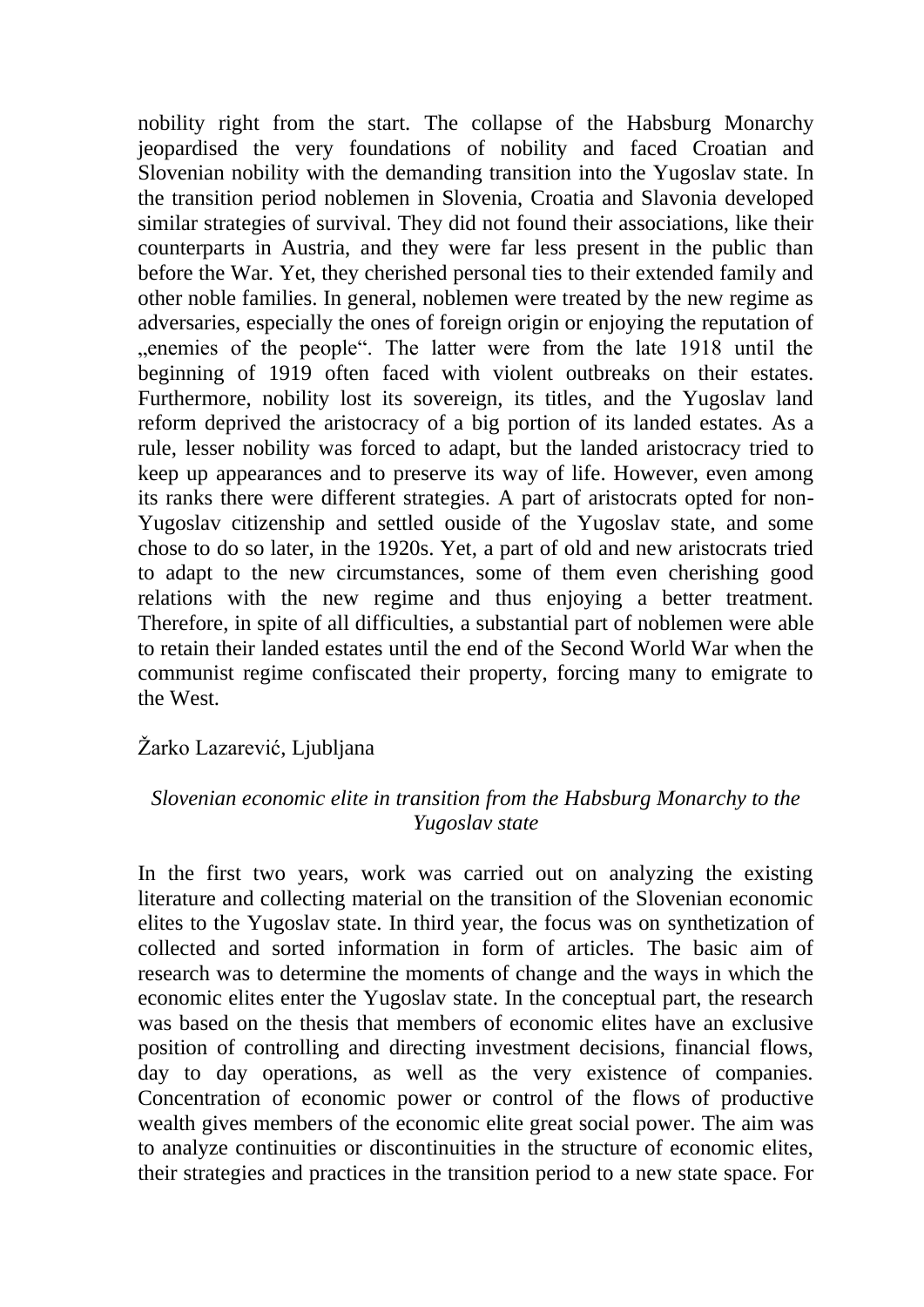nobility right from the start. The collapse of the Habsburg Monarchy jeopardised the very foundations of nobility and faced Croatian and Slovenian nobility with the demanding transition into the Yugoslav state. In the transition period noblemen in Slovenia, Croatia and Slavonia developed similar strategies of survival. They did not found their associations, like their counterparts in Austria, and they were far less present in the public than before the War. Yet, they cherished personal ties to their extended family and other noble families. In general, noblemen were treated by the new regime as adversaries, especially the ones of foreign origin or enjoying the reputation of ", enemies of the people". The latter were from the late 1918 until the beginning of 1919 often faced with violent outbreaks on their estates. Furthermore, nobility lost its sovereign, its titles, and the Yugoslav land reform deprived the aristocracy of a big portion of its landed estates. As a rule, lesser nobility was forced to adapt, but the landed aristocracy tried to keep up appearances and to preserve its way of life. However, even among its ranks there were different strategies. A part of aristocrats opted for non-Yugoslav citizenship and settled ouside of the Yugoslav state, and some chose to do so later, in the 1920s. Yet, a part of old and new aristocrats tried to adapt to the new circumstances, some of them even cherishing good relations with the new regime and thus enjoying a better treatment. Therefore, in spite of all difficulties, a substantial part of noblemen were able to retain their landed estates until the end of the Second World War when the communist regime confiscated their property, forcing many to emigrate to the West.

## Žarko Lazarević, Ljubljana

## *Slovenian economic elite in transition from the Habsburg Monarchy to the Yugoslav state*

In the first two years, work was carried out on analyzing the existing literature and collecting material on the transition of the Slovenian economic elites to the Yugoslav state. In third year, the focus was on synthetization of collected and sorted information in form of articles. The basic aim of research was to determine the moments of change and the ways in which the economic elites enter the Yugoslav state. In the conceptual part, the research was based on the thesis that members of economic elites have an exclusive position of controlling and directing investment decisions, financial flows, day to day operations, as well as the very existence of companies. Concentration of economic power or control of the flows of productive wealth gives members of the economic elite great social power. The aim was to analyze continuities or discontinuities in the structure of economic elites, their strategies and practices in the transition period to a new state space. For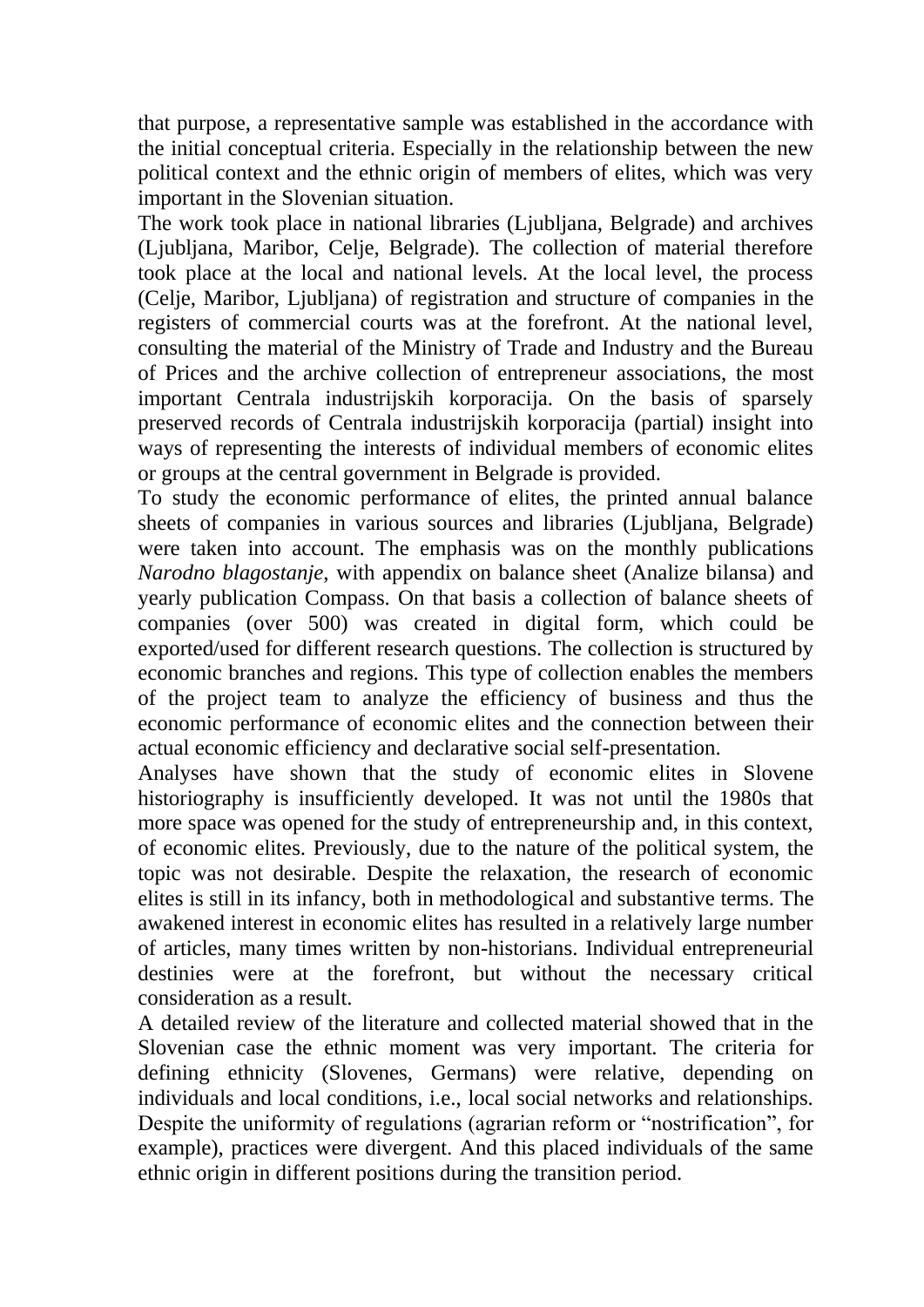that purpose, a representative sample was established in the accordance with the initial conceptual criteria. Especially in the relationship between the new political context and the ethnic origin of members of elites, which was very important in the Slovenian situation.

The work took place in national libraries (Ljubljana, Belgrade) and archives (Ljubljana, Maribor, Celje, Belgrade). The collection of material therefore took place at the local and national levels. At the local level, the process (Celje, Maribor, Ljubljana) of registration and structure of companies in the registers of commercial courts was at the forefront. At the national level, consulting the material of the Ministry of Trade and Industry and the Bureau of Prices and the archive collection of entrepreneur associations, the most important Centrala industrijskih korporacija. On the basis of sparsely preserved records of Centrala industrijskih korporacija (partial) insight into ways of representing the interests of individual members of economic elites or groups at the central government in Belgrade is provided.

To study the economic performance of elites, the printed annual balance sheets of companies in various sources and libraries (Ljubljana, Belgrade) were taken into account. The emphasis was on the monthly publications *Narodno blagostanje*, with appendix on balance sheet (Analize bilansa) and yearly publication Compass. On that basis a collection of balance sheets of companies (over 500) was created in digital form, which could be exported/used for different research questions. The collection is structured by economic branches and regions. This type of collection enables the members of the project team to analyze the efficiency of business and thus the economic performance of economic elites and the connection between their actual economic efficiency and declarative social self-presentation.

Analyses have shown that the study of economic elites in Slovene historiography is insufficiently developed. It was not until the 1980s that more space was opened for the study of entrepreneurship and, in this context, of economic elites. Previously, due to the nature of the political system, the topic was not desirable. Despite the relaxation, the research of economic elites is still in its infancy, both in methodological and substantive terms. The awakened interest in economic elites has resulted in a relatively large number of articles, many times written by non-historians. Individual entrepreneurial destinies were at the forefront, but without the necessary critical consideration as a result.

A detailed review of the literature and collected material showed that in the Slovenian case the ethnic moment was very important. The criteria for defining ethnicity (Slovenes, Germans) were relative, depending on individuals and local conditions, i.e., local social networks and relationships. Despite the uniformity of regulations (agrarian reform or "nostrification", for example), practices were divergent. And this placed individuals of the same ethnic origin in different positions during the transition period.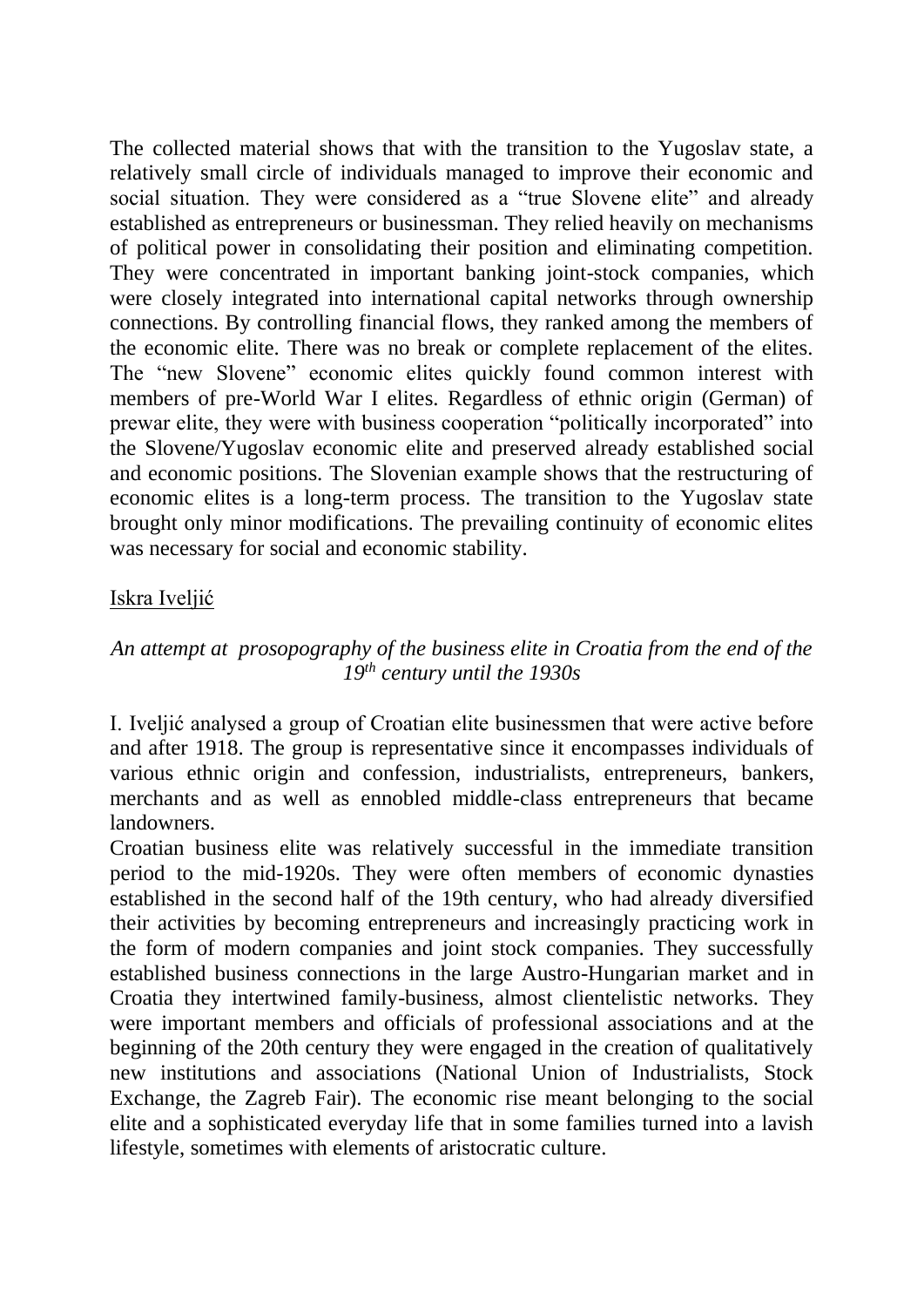The collected material shows that with the transition to the Yugoslav state, a relatively small circle of individuals managed to improve their economic and social situation. They were considered as a "true Slovene elite" and already established as entrepreneurs or businessman. They relied heavily on mechanisms of political power in consolidating their position and eliminating competition. They were concentrated in important banking joint-stock companies, which were closely integrated into international capital networks through ownership connections. By controlling financial flows, they ranked among the members of the economic elite. There was no break or complete replacement of the elites. The "new Slovene" economic elites quickly found common interest with members of pre-World War I elites. Regardless of ethnic origin (German) of prewar elite, they were with business cooperation "politically incorporated" into the Slovene/Yugoslav economic elite and preserved already established social and economic positions. The Slovenian example shows that the restructuring of economic elites is a long-term process. The transition to the Yugoslav state brought only minor modifications. The prevailing continuity of economic elites was necessary for social and economic stability.

## Iskra Iveljić

## *An attempt at prosopography of the business elite in Croatia from the end of the 19th century until the 1930s*

I. Iveljić analysed a group of Croatian elite businessmen that were active before and after 1918. The group is representative since it encompasses individuals of various ethnic origin and confession, industrialists, entrepreneurs, bankers, merchants and as well as ennobled middle-class entrepreneurs that became landowners.

Croatian business elite was relatively successful in the immediate transition period to the mid-1920s. They were often members of economic dynasties established in the second half of the 19th century, who had already diversified their activities by becoming entrepreneurs and increasingly practicing work in the form of modern companies and joint stock companies. They successfully established business connections in the large Austro-Hungarian market and in Croatia they intertwined family-business, almost clientelistic networks. They were important members and officials of professional associations and at the beginning of the 20th century they were engaged in the creation of qualitatively new institutions and associations (National Union of Industrialists, Stock Exchange, the Zagreb Fair). The economic rise meant belonging to the social elite and a sophisticated everyday life that in some families turned into a lavish lifestyle, sometimes with elements of aristocratic culture.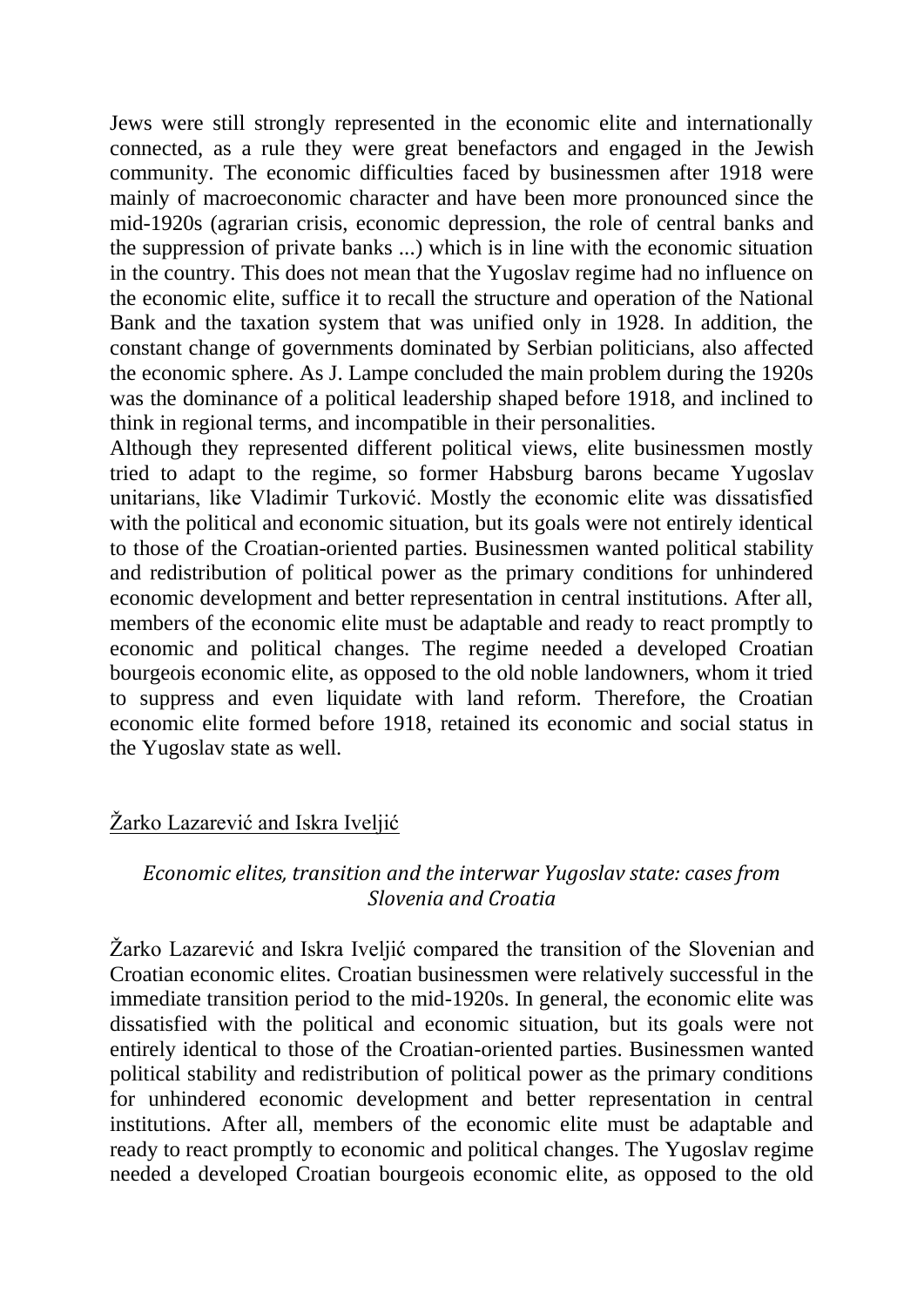Jews were still strongly represented in the economic elite and internationally connected, as a rule they were great benefactors and engaged in the Jewish community. The economic difficulties faced by businessmen after 1918 were mainly of macroeconomic character and have been more pronounced since the mid-1920s (agrarian crisis, economic depression, the role of central banks and the suppression of private banks ...) which is in line with the economic situation in the country. This does not mean that the Yugoslav regime had no influence on the economic elite, suffice it to recall the structure and operation of the National Bank and the taxation system that was unified only in 1928. In addition, the constant change of governments dominated by Serbian politicians, also affected the economic sphere. As J. Lampe concluded the main problem during the 1920s was the dominance of a political leadership shaped before 1918, and inclined to think in regional terms, and incompatible in their personalities.

Although they represented different political views, elite businessmen mostly tried to adapt to the regime, so former Habsburg barons became Yugoslav unitarians, like Vladimir Turković. Mostly the economic elite was dissatisfied with the political and economic situation, but its goals were not entirely identical to those of the Croatian-oriented parties. Businessmen wanted political stability and redistribution of political power as the primary conditions for unhindered economic development and better representation in central institutions. After all, members of the economic elite must be adaptable and ready to react promptly to economic and political changes. The regime needed a developed Croatian bourgeois economic elite, as opposed to the old noble landowners, whom it tried to suppress and even liquidate with land reform. Therefore, the Croatian economic elite formed before 1918, retained its economic and social status in the Yugoslav state as well.

# Žarko Lazarević and Iskra Iveljić

## *Economic elites, transition and the interwar Yugoslav state: cases from Slovenia and Croatia*

Žarko Lazarević and Iskra Iveljić compared the transition of the Slovenian and Croatian economic elites. Croatian businessmen were relatively successful in the immediate transition period to the mid-1920s. In general, the economic elite was dissatisfied with the political and economic situation, but its goals were not entirely identical to those of the Croatian-oriented parties. Businessmen wanted political stability and redistribution of political power as the primary conditions for unhindered economic development and better representation in central institutions. After all, members of the economic elite must be adaptable and ready to react promptly to economic and political changes. The Yugoslav regime needed a developed Croatian bourgeois economic elite, as opposed to the old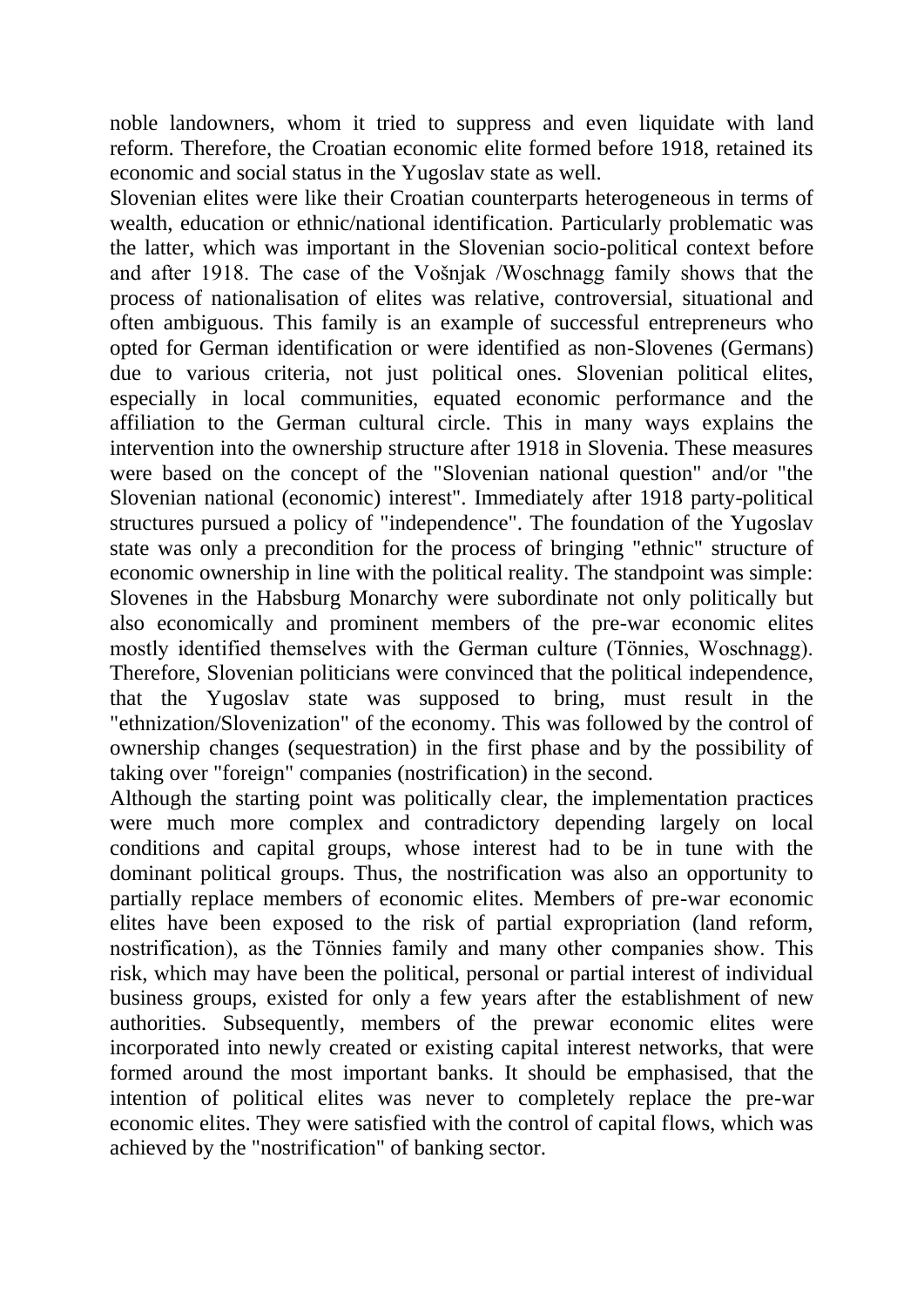noble landowners, whom it tried to suppress and even liquidate with land reform. Therefore, the Croatian economic elite formed before 1918, retained its economic and social status in the Yugoslav state as well.

Slovenian elites were like their Croatian counterparts heterogeneous in terms of wealth, education or ethnic/national identification. Particularly problematic was the latter, which was important in the Slovenian socio-political context before and after 1918. The case of the Vošnjak /Woschnagg family shows that the process of nationalisation of elites was relative, controversial, situational and often ambiguous. This family is an example of successful entrepreneurs who opted for German identification or were identified as non-Slovenes (Germans) due to various criteria, not just political ones. Slovenian political elites, especially in local communities, equated economic performance and the affiliation to the German cultural circle. This in many ways explains the intervention into the ownership structure after 1918 in Slovenia. These measures were based on the concept of the "Slovenian national question" and/or "the Slovenian national (economic) interest". Immediately after 1918 party-political structures pursued a policy of "independence". The foundation of the Yugoslav state was only a precondition for the process of bringing "ethnic" structure of economic ownership in line with the political reality. The standpoint was simple: Slovenes in the Habsburg Monarchy were subordinate not only politically but also economically and prominent members of the pre-war economic elites mostly identified themselves with the German culture (Tönnies, Woschnagg). Therefore, Slovenian politicians were convinced that the political independence, that the Yugoslav state was supposed to bring, must result in the "ethnization/Slovenization" of the economy. This was followed by the control of ownership changes (sequestration) in the first phase and by the possibility of taking over "foreign" companies (nostrification) in the second.

Although the starting point was politically clear, the implementation practices were much more complex and contradictory depending largely on local conditions and capital groups, whose interest had to be in tune with the dominant political groups. Thus, the nostrification was also an opportunity to partially replace members of economic elites. Members of pre-war economic elites have been exposed to the risk of partial expropriation (land reform, nostrification), as the Tönnies family and many other companies show. This risk, which may have been the political, personal or partial interest of individual business groups, existed for only a few years after the establishment of new authorities. Subsequently, members of the prewar economic elites were incorporated into newly created or existing capital interest networks, that were formed around the most important banks. It should be emphasised, that the intention of political elites was never to completely replace the pre-war economic elites. They were satisfied with the control of capital flows, which was achieved by the "nostrification" of banking sector.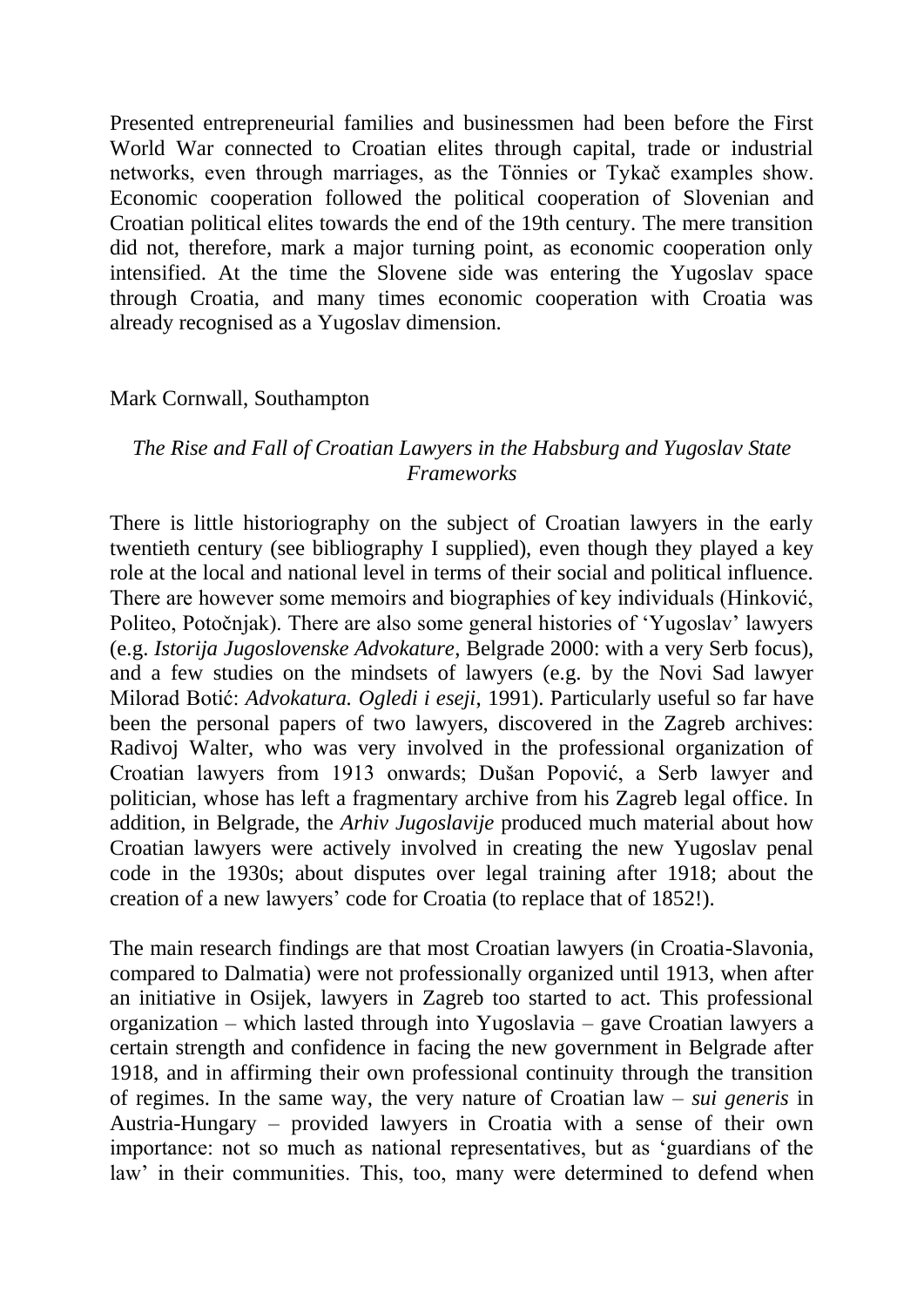Presented entrepreneurial families and businessmen had been before the First World War connected to Croatian elites through capital, trade or industrial networks, even through marriages, as the Tönnies or Tykač examples show. Economic cooperation followed the political cooperation of Slovenian and Croatian political elites towards the end of the 19th century. The mere transition did not, therefore, mark a major turning point, as economic cooperation only intensified. At the time the Slovene side was entering the Yugoslav space through Croatia, and many times economic cooperation with Croatia was already recognised as a Yugoslav dimension.

#### Mark Cornwall, Southampton

## *The Rise and Fall of Croatian Lawyers in the Habsburg and Yugoslav State Frameworks*

There is little historiography on the subject of Croatian lawyers in the early twentieth century (see bibliography I supplied), even though they played a key role at the local and national level in terms of their social and political influence. There are however some memoirs and biographies of key individuals (Hinković, Politeo, Potočnjak). There are also some general histories of 'Yugoslav' lawyers (e.g. *Istorija Jugoslovenske Advokature*, Belgrade 2000: with a very Serb focus), and a few studies on the mindsets of lawyers (e.g. by the Novi Sad lawyer Milorad Botić: *Advokatura. Ogledi i eseji*, 1991). Particularly useful so far have been the personal papers of two lawyers, discovered in the Zagreb archives: Radivoj Walter, who was very involved in the professional organization of Croatian lawyers from 1913 onwards; Dušan Popović, a Serb lawyer and politician, whose has left a fragmentary archive from his Zagreb legal office. In addition, in Belgrade, the *Arhiv Jugoslavije* produced much material about how Croatian lawyers were actively involved in creating the new Yugoslav penal code in the 1930s; about disputes over legal training after 1918; about the creation of a new lawyers' code for Croatia (to replace that of 1852!).

The main research findings are that most Croatian lawyers (in Croatia-Slavonia, compared to Dalmatia) were not professionally organized until 1913, when after an initiative in Osijek, lawyers in Zagreb too started to act. This professional organization – which lasted through into Yugoslavia – gave Croatian lawyers a certain strength and confidence in facing the new government in Belgrade after 1918, and in affirming their own professional continuity through the transition of regimes. In the same way, the very nature of Croatian law – *sui generis* in Austria-Hungary – provided lawyers in Croatia with a sense of their own importance: not so much as national representatives, but as 'guardians of the law' in their communities. This, too, many were determined to defend when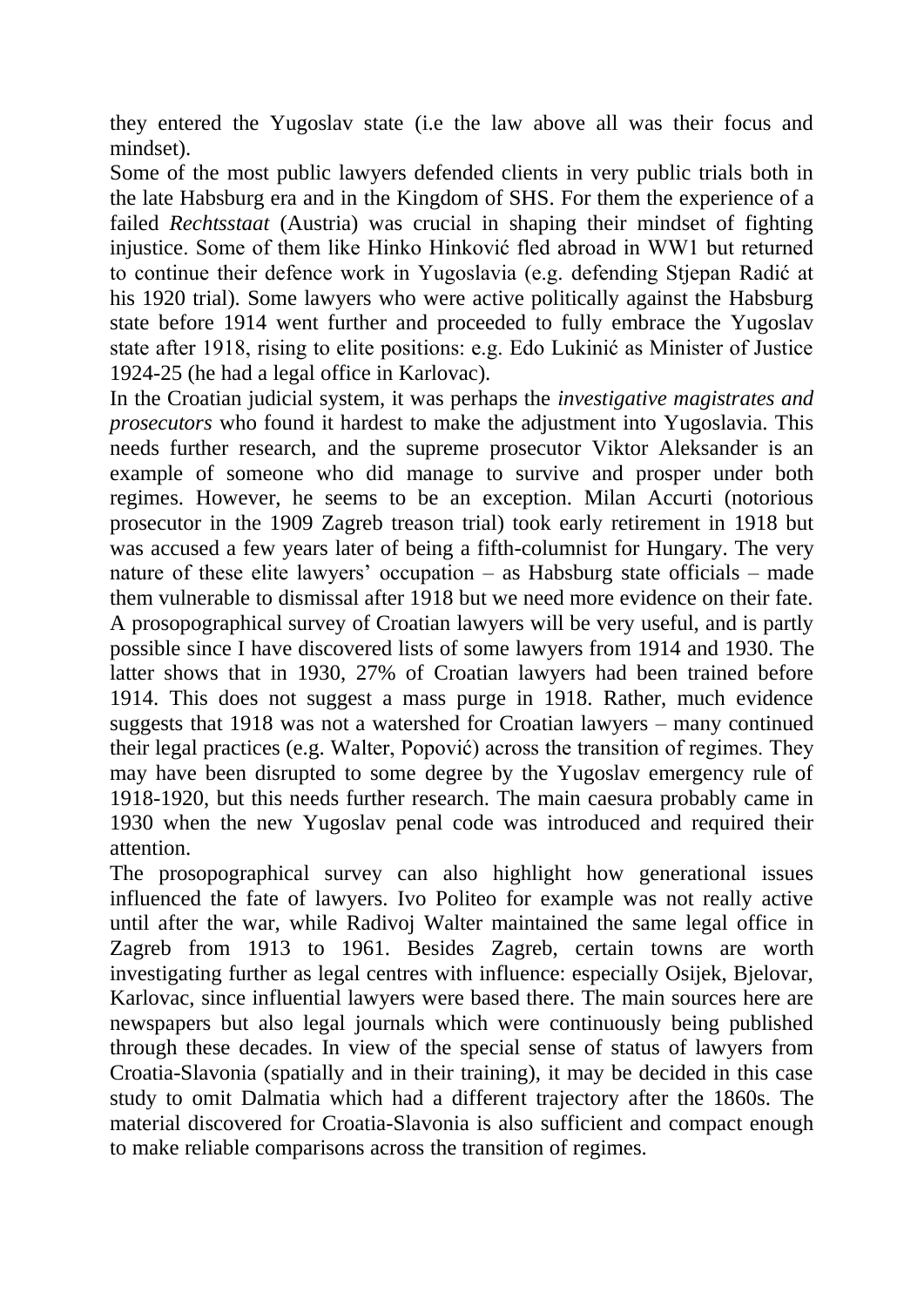they entered the Yugoslav state (i.e the law above all was their focus and mindset).

Some of the most public lawyers defended clients in very public trials both in the late Habsburg era and in the Kingdom of SHS. For them the experience of a failed *Rechtsstaat* (Austria) was crucial in shaping their mindset of fighting injustice. Some of them like Hinko Hinković fled abroad in WW1 but returned to continue their defence work in Yugoslavia (e.g. defending Stjepan Radić at his 1920 trial). Some lawyers who were active politically against the Habsburg state before 1914 went further and proceeded to fully embrace the Yugoslav state after 1918, rising to elite positions: e.g. Edo Lukinić as Minister of Justice 1924-25 (he had a legal office in Karlovac).

In the Croatian judicial system, it was perhaps the *investigative magistrates and prosecutors* who found it hardest to make the adjustment into Yugoslavia. This needs further research, and the supreme prosecutor Viktor Aleksander is an example of someone who did manage to survive and prosper under both regimes. However, he seems to be an exception. Milan Accurti (notorious prosecutor in the 1909 Zagreb treason trial) took early retirement in 1918 but was accused a few years later of being a fifth-columnist for Hungary. The very nature of these elite lawyers' occupation – as Habsburg state officials – made them vulnerable to dismissal after 1918 but we need more evidence on their fate. A prosopographical survey of Croatian lawyers will be very useful, and is partly possible since I have discovered lists of some lawyers from 1914 and 1930. The latter shows that in 1930, 27% of Croatian lawyers had been trained before 1914. This does not suggest a mass purge in 1918. Rather, much evidence suggests that 1918 was not a watershed for Croatian lawyers – many continued their legal practices (e.g. Walter, Popović) across the transition of regimes. They may have been disrupted to some degree by the Yugoslav emergency rule of 1918-1920, but this needs further research. The main caesura probably came in 1930 when the new Yugoslav penal code was introduced and required their attention.

The prosopographical survey can also highlight how generational issues influenced the fate of lawyers. Ivo Politeo for example was not really active until after the war, while Radivoj Walter maintained the same legal office in Zagreb from 1913 to 1961. Besides Zagreb, certain towns are worth investigating further as legal centres with influence: especially Osijek, Bjelovar, Karlovac, since influential lawyers were based there. The main sources here are newspapers but also legal journals which were continuously being published through these decades. In view of the special sense of status of lawyers from Croatia-Slavonia (spatially and in their training), it may be decided in this case study to omit Dalmatia which had a different trajectory after the 1860s. The material discovered for Croatia-Slavonia is also sufficient and compact enough to make reliable comparisons across the transition of regimes.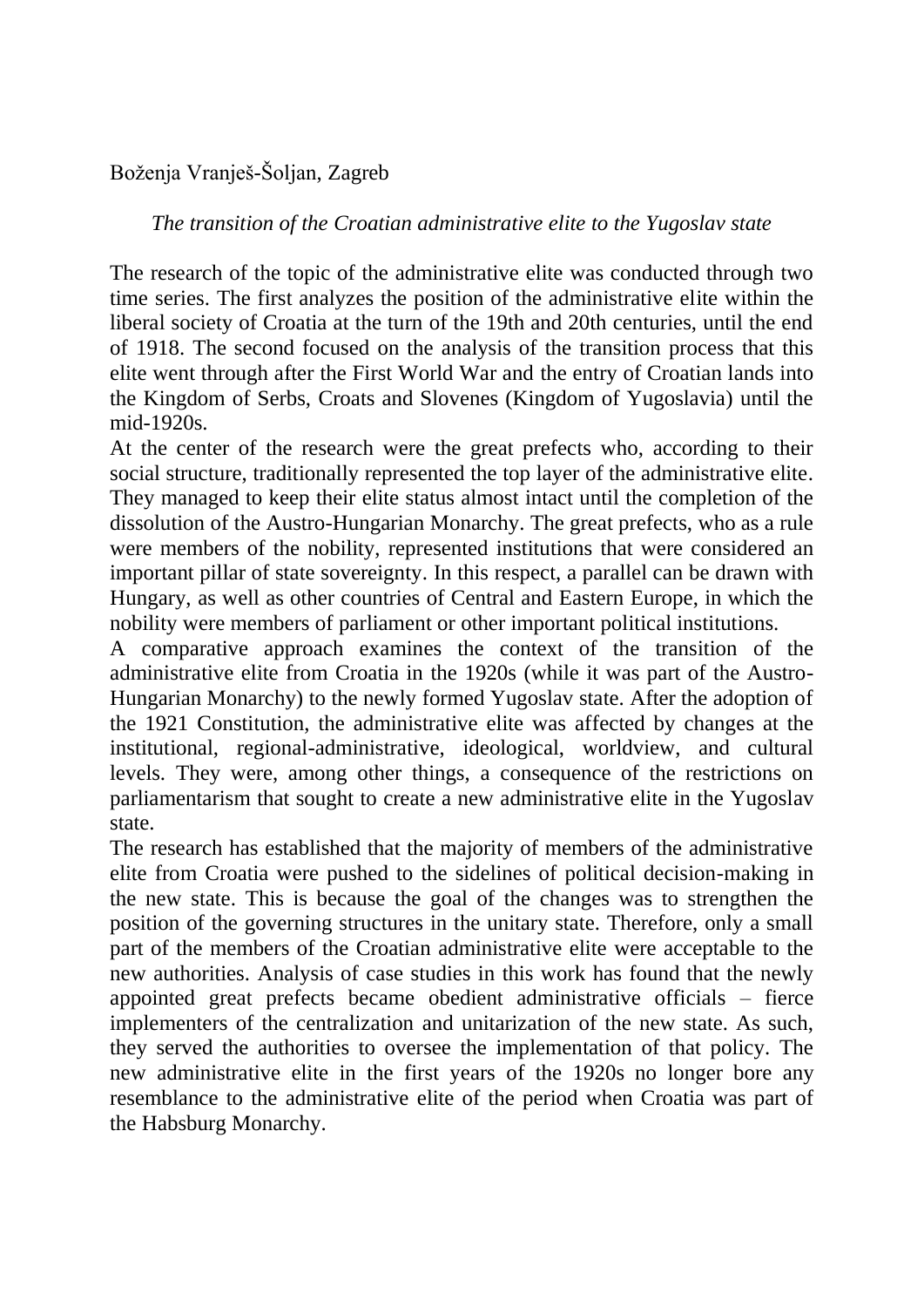# Boženja Vranješ-Šoljan, Zagreb

## *The transition of the Croatian administrative elite to the Yugoslav state*

The research of the topic of the administrative elite was conducted through two time series. The first analyzes the position of the administrative elite within the liberal society of Croatia at the turn of the 19th and 20th centuries, until the end of 1918. The second focused on the analysis of the transition process that this elite went through after the First World War and the entry of Croatian lands into the Kingdom of Serbs, Croats and Slovenes (Kingdom of Yugoslavia) until the mid-1920s.

At the center of the research were the great prefects who, according to their social structure, traditionally represented the top layer of the administrative elite. They managed to keep their elite status almost intact until the completion of the dissolution of the Austro-Hungarian Monarchy. The great prefects, who as a rule were members of the nobility, represented institutions that were considered an important pillar of state sovereignty. In this respect, a parallel can be drawn with Hungary, as well as other countries of Central and Eastern Europe, in which the nobility were members of parliament or other important political institutions.

A comparative approach examines the context of the transition of the administrative elite from Croatia in the 1920s (while it was part of the Austro-Hungarian Monarchy) to the newly formed Yugoslav state. After the adoption of the 1921 Constitution, the administrative elite was affected by changes at the institutional, regional-administrative, ideological, worldview, and cultural levels. They were, among other things, a consequence of the restrictions on parliamentarism that sought to create a new administrative elite in the Yugoslav state.

The research has established that the majority of members of the administrative elite from Croatia were pushed to the sidelines of political decision-making in the new state. This is because the goal of the changes was to strengthen the position of the governing structures in the unitary state. Therefore, only a small part of the members of the Croatian administrative elite were acceptable to the new authorities. Analysis of case studies in this work has found that the newly appointed great prefects became obedient administrative officials – fierce implementers of the centralization and unitarization of the new state. As such, they served the authorities to oversee the implementation of that policy. The new administrative elite in the first years of the 1920s no longer bore any resemblance to the administrative elite of the period when Croatia was part of the Habsburg Monarchy.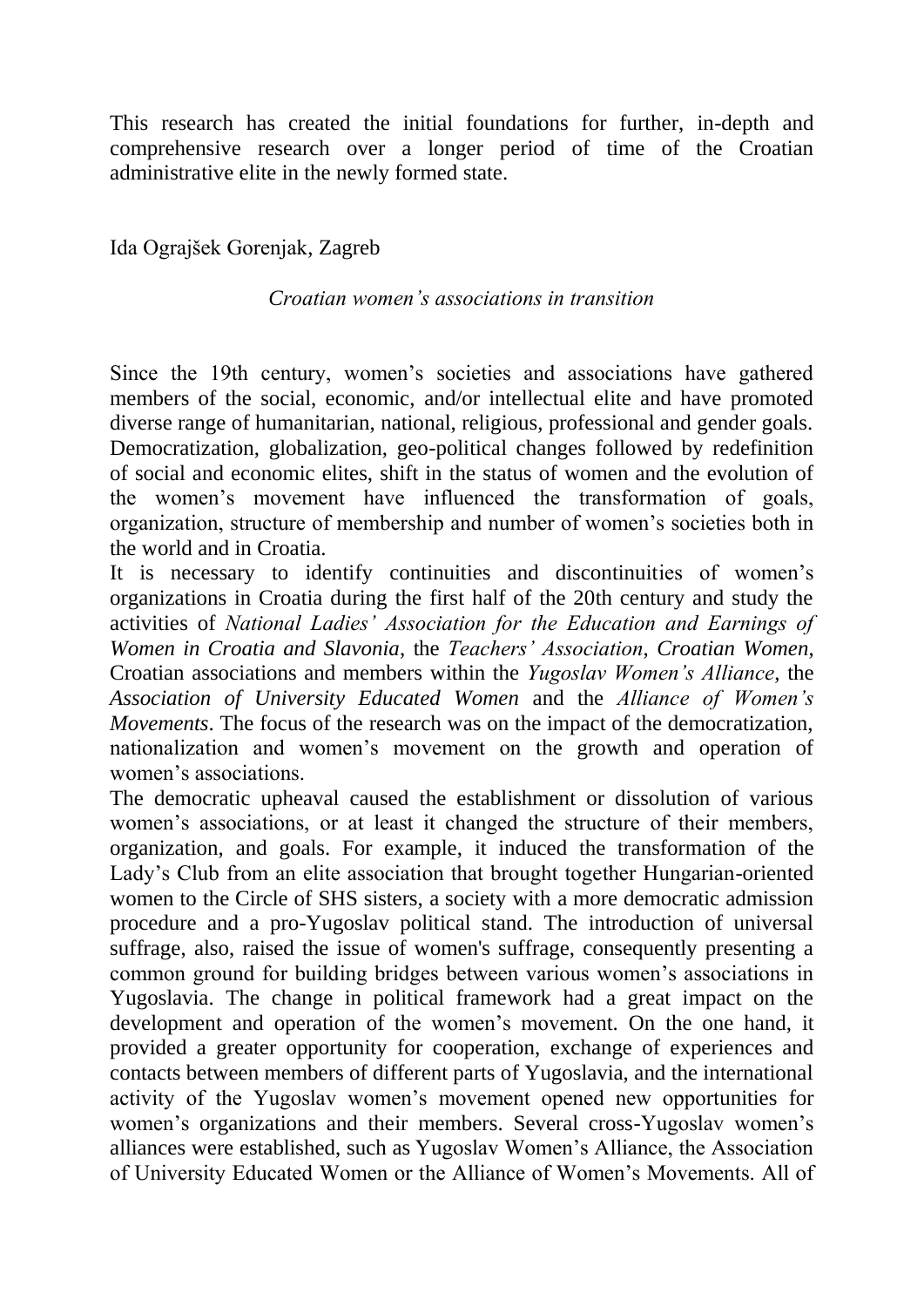This research has created the initial foundations for further, in-depth and comprehensive research over a longer period of time of the Croatian administrative elite in the newly formed state.

Ida Ograjšek Gorenjak, Zagreb

#### *Croatian women's associations in transition*

Since the 19th century, women's societies and associations have gathered members of the social, economic, and/or intellectual elite and have promoted diverse range of humanitarian, national, religious, professional and gender goals. Democratization, globalization, geo-political changes followed by redefinition of social and economic elites, shift in the status of women and the evolution of the women's movement have influenced the transformation of goals, organization, structure of membership and number of women's societies both in the world and in Croatia.

It is necessary to identify continuities and discontinuities of women's organizations in Croatia during the first half of the 20th century and study the activities of *National Ladies' Association for the Education and Earnings of Women in Croatia and Slavonia*, the *Teachers' Association*, *Croatian Women*, Croatian associations and members within the *Yugoslav Women's Alliance*, the *Association of University Educated Women* and the *Alliance of Women's Movements*. The focus of the research was on the impact of the democratization, nationalization and women's movement on the growth and operation of women's associations.

The democratic upheaval caused the establishment or dissolution of various women's associations, or at least it changed the structure of their members, organization, and goals. For example, it induced the transformation of the Lady's Club from an elite association that brought together Hungarian-oriented women to the Circle of SHS sisters, a society with a more democratic admission procedure and a pro-Yugoslav political stand. The introduction of universal suffrage, also, raised the issue of women's suffrage, consequently presenting a common ground for building bridges between various women's associations in Yugoslavia. The change in political framework had a great impact on the development and operation of the women's movement. On the one hand, it provided a greater opportunity for cooperation, exchange of experiences and contacts between members of different parts of Yugoslavia, and the international activity of the Yugoslav women's movement opened new opportunities for women's organizations and their members. Several cross-Yugoslav women's alliances were established, such as Yugoslav Women's Alliance, the Association of University Educated Women or the Alliance of Women's Movements. All of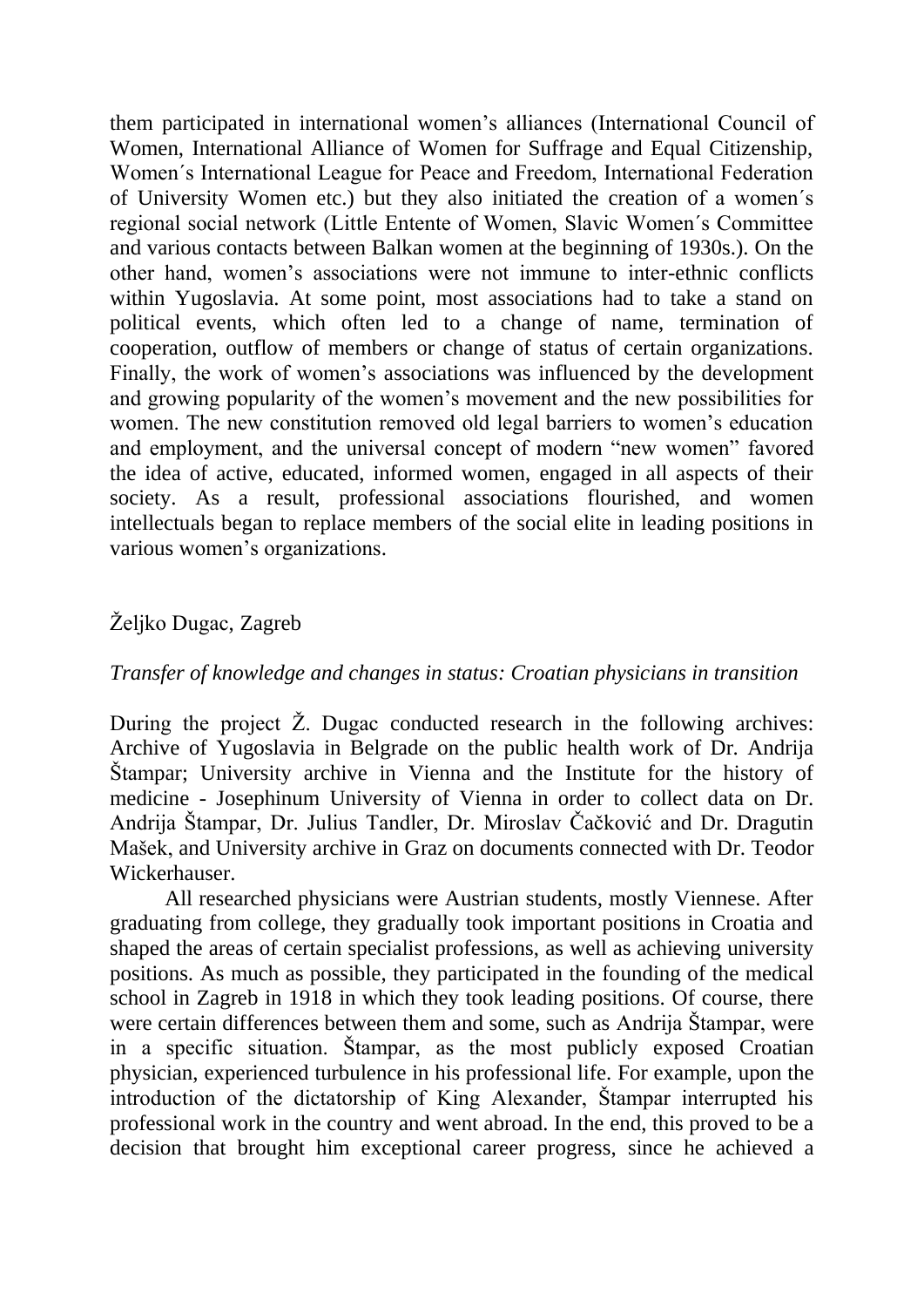them participated in international women's alliances (International Council of Women, International Alliance of Women for Suffrage and Equal Citizenship, Women´s International League for Peace and Freedom, International Federation of University Women etc.) but they also initiated the creation of a women´s regional social network (Little Entente of Women, Slavic Women´s Committee and various contacts between Balkan women at the beginning of 1930s.). On the other hand, women's associations were not immune to inter-ethnic conflicts within Yugoslavia. At some point, most associations had to take a stand on political events, which often led to a change of name, termination of cooperation, outflow of members or change of status of certain organizations. Finally, the work of women's associations was influenced by the development and growing popularity of the women's movement and the new possibilities for women. The new constitution removed old legal barriers to women's education and employment, and the universal concept of modern "new women" favored the idea of active, educated, informed women, engaged in all aspects of their society. As a result, professional associations flourished, and women intellectuals began to replace members of the social elite in leading positions in various women's organizations.

## Željko Dugac, Zagreb

#### *Transfer of knowledge and changes in status: Croatian physicians in transition*

During the project Ž. Dugac conducted research in the following archives: Archive of Yugoslavia in Belgrade on the public health work of Dr. Andrija Štampar; University archive in Vienna and the Institute for the history of medicine - Josephinum University of Vienna in order to collect data on Dr. Andrija Štampar, Dr. Julius Tandler, Dr. Miroslav Čačković and Dr. Dragutin Mašek, and University archive in Graz on documents connected with Dr. Teodor Wickerhauser.

All researched physicians were Austrian students, mostly Viennese. After graduating from college, they gradually took important positions in Croatia and shaped the areas of certain specialist professions, as well as achieving university positions. As much as possible, they participated in the founding of the medical school in Zagreb in 1918 in which they took leading positions. Of course, there were certain differences between them and some, such as Andrija Štampar, were in a specific situation. Štampar, as the most publicly exposed Croatian physician, experienced turbulence in his professional life. For example, upon the introduction of the dictatorship of King Alexander, Štampar interrupted his professional work in the country and went abroad. In the end, this proved to be a decision that brought him exceptional career progress, since he achieved a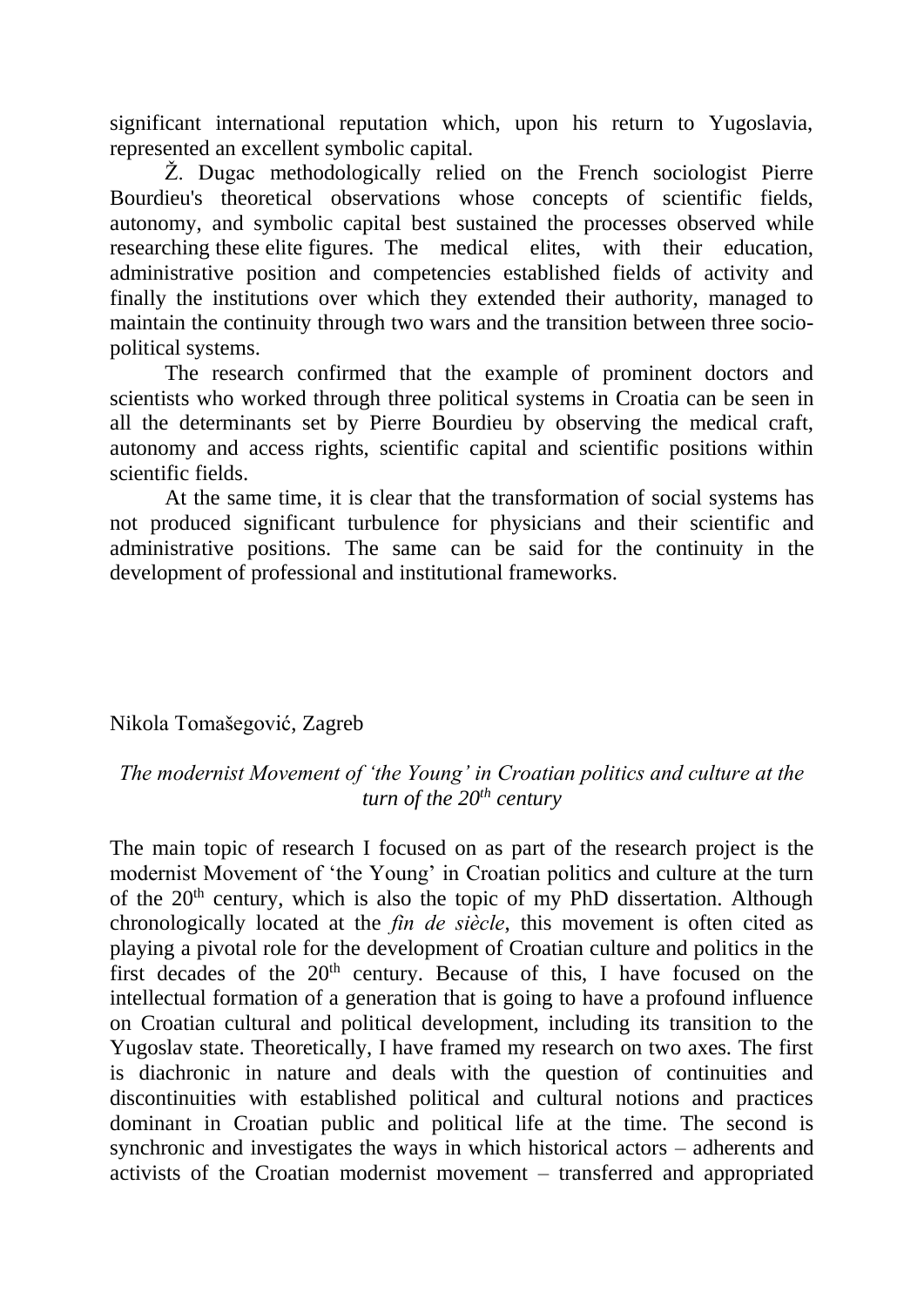significant international reputation which, upon his return to Yugoslavia, represented an excellent symbolic capital.

Ž. Dugac methodologically relied on the French sociologist Pierre Bourdieu's theoretical observations whose concepts of scientific fields, autonomy, and symbolic capital best sustained the processes observed while researching these elite figures. The medical elites, with their education, administrative position and competencies established fields of activity and finally the institutions over which they extended their authority, managed to maintain the continuity through two wars and the transition between three sociopolitical systems.

The research confirmed that the example of prominent doctors and scientists who worked through three political systems in Croatia can be seen in all the determinants set by Pierre Bourdieu by observing the medical craft, autonomy and access rights, scientific capital and scientific positions within scientific fields.

At the same time, it is clear that the transformation of social systems has not produced significant turbulence for physicians and their scientific and administrative positions. The same can be said for the continuity in the development of professional and institutional frameworks.

## Nikola Tomašegović, Zagreb

## *The modernist Movement of 'the Young' in Croatian politics and culture at the turn of the 20th century*

The main topic of research I focused on as part of the research project is the modernist Movement of 'the Young' in Croatian politics and culture at the turn of the  $20<sup>th</sup>$  century, which is also the topic of my PhD dissertation. Although chronologically located at the *fin de siècle*, this movement is often cited as playing a pivotal role for the development of Croatian culture and politics in the first decades of the  $20<sup>th</sup>$  century. Because of this, I have focused on the intellectual formation of a generation that is going to have a profound influence on Croatian cultural and political development, including its transition to the Yugoslav state. Theoretically, I have framed my research on two axes. The first is diachronic in nature and deals with the question of continuities and discontinuities with established political and cultural notions and practices dominant in Croatian public and political life at the time. The second is synchronic and investigates the ways in which historical actors – adherents and activists of the Croatian modernist movement – transferred and appropriated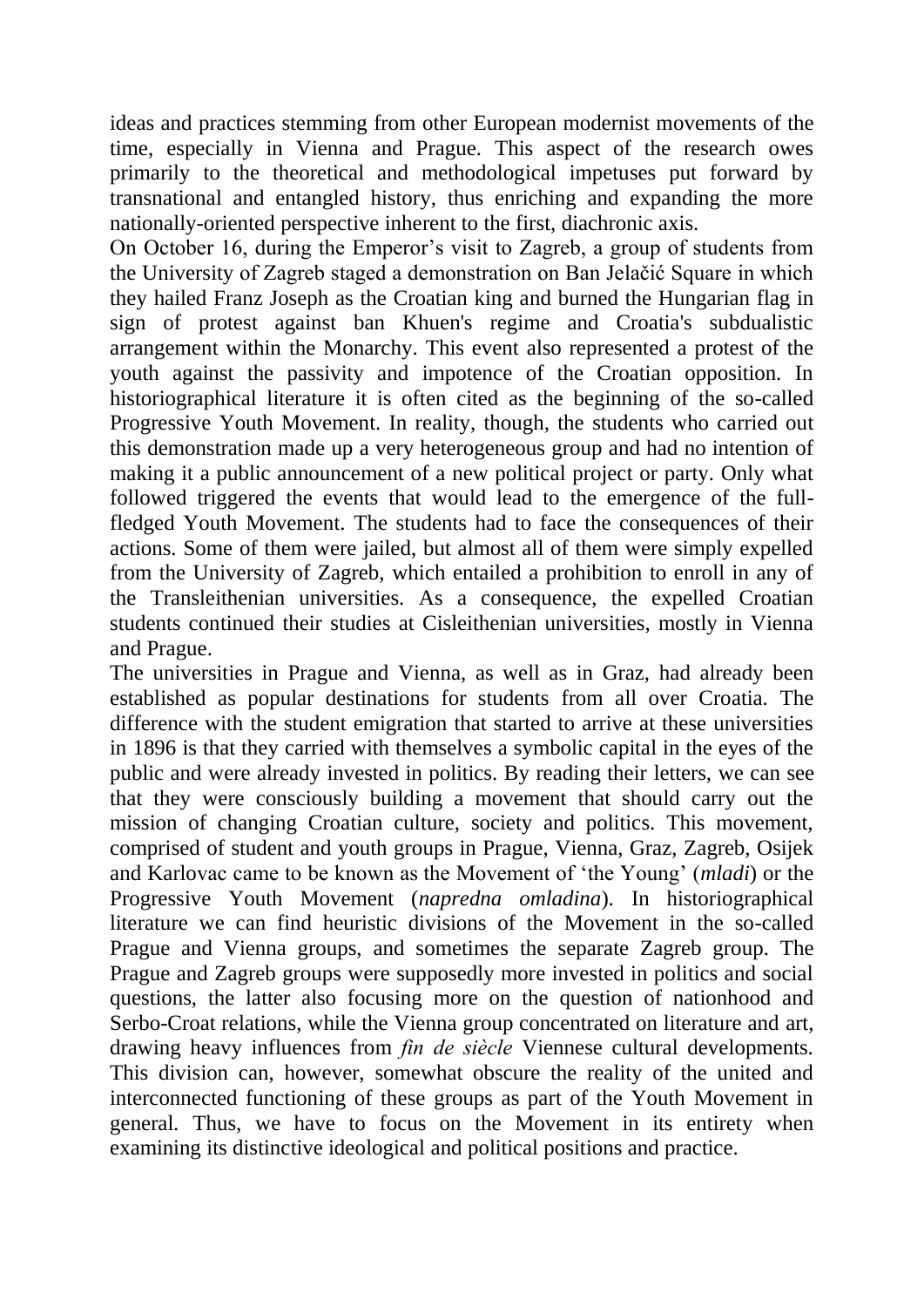ideas and practices stemming from other European modernist movements of the time, especially in Vienna and Prague. This aspect of the research owes primarily to the theoretical and methodological impetuses put forward by transnational and entangled history, thus enriching and expanding the more nationally-oriented perspective inherent to the first, diachronic axis.

On October 16, during the Emperor's visit to Zagreb, a group of students from the University of Zagreb staged a demonstration on Ban Jelačić Square in which they hailed Franz Joseph as the Croatian king and burned the Hungarian flag in sign of protest against ban Khuen's regime and Croatia's subdualistic arrangement within the Monarchy. This event also represented a protest of the youth against the passivity and impotence of the Croatian opposition. In historiographical literature it is often cited as the beginning of the so-called Progressive Youth Movement. In reality, though, the students who carried out this demonstration made up a very heterogeneous group and had no intention of making it a public announcement of a new political project or party. Only what followed triggered the events that would lead to the emergence of the fullfledged Youth Movement. The students had to face the consequences of their actions. Some of them were jailed, but almost all of them were simply expelled from the University of Zagreb, which entailed a prohibition to enroll in any of the Transleithenian universities. As a consequence, the expelled Croatian students continued their studies at Cisleithenian universities, mostly in Vienna and Prague.

The universities in Prague and Vienna, as well as in Graz, had already been established as popular destinations for students from all over Croatia. The difference with the student emigration that started to arrive at these universities in 1896 is that they carried with themselves a symbolic capital in the eyes of the public and were already invested in politics. By reading their letters, we can see that they were consciously building a movement that should carry out the mission of changing Croatian culture, society and politics. This movement, comprised of student and youth groups in Prague, Vienna, Graz, Zagreb, Osijek and Karlovac came to be known as the Movement of 'the Young' (*mladi*) or the Progressive Youth Movement (*napredna omladina*). In historiographical literature we can find heuristic divisions of the Movement in the so-called Prague and Vienna groups, and sometimes the separate Zagreb group. The Prague and Zagreb groups were supposedly more invested in politics and social questions, the latter also focusing more on the question of nationhood and Serbo-Croat relations, while the Vienna group concentrated on literature and art, drawing heavy influences from *fin de siècle* Viennese cultural developments. This division can, however, somewhat obscure the reality of the united and interconnected functioning of these groups as part of the Youth Movement in general. Thus, we have to focus on the Movement in its entirety when examining its distinctive ideological and political positions and practice.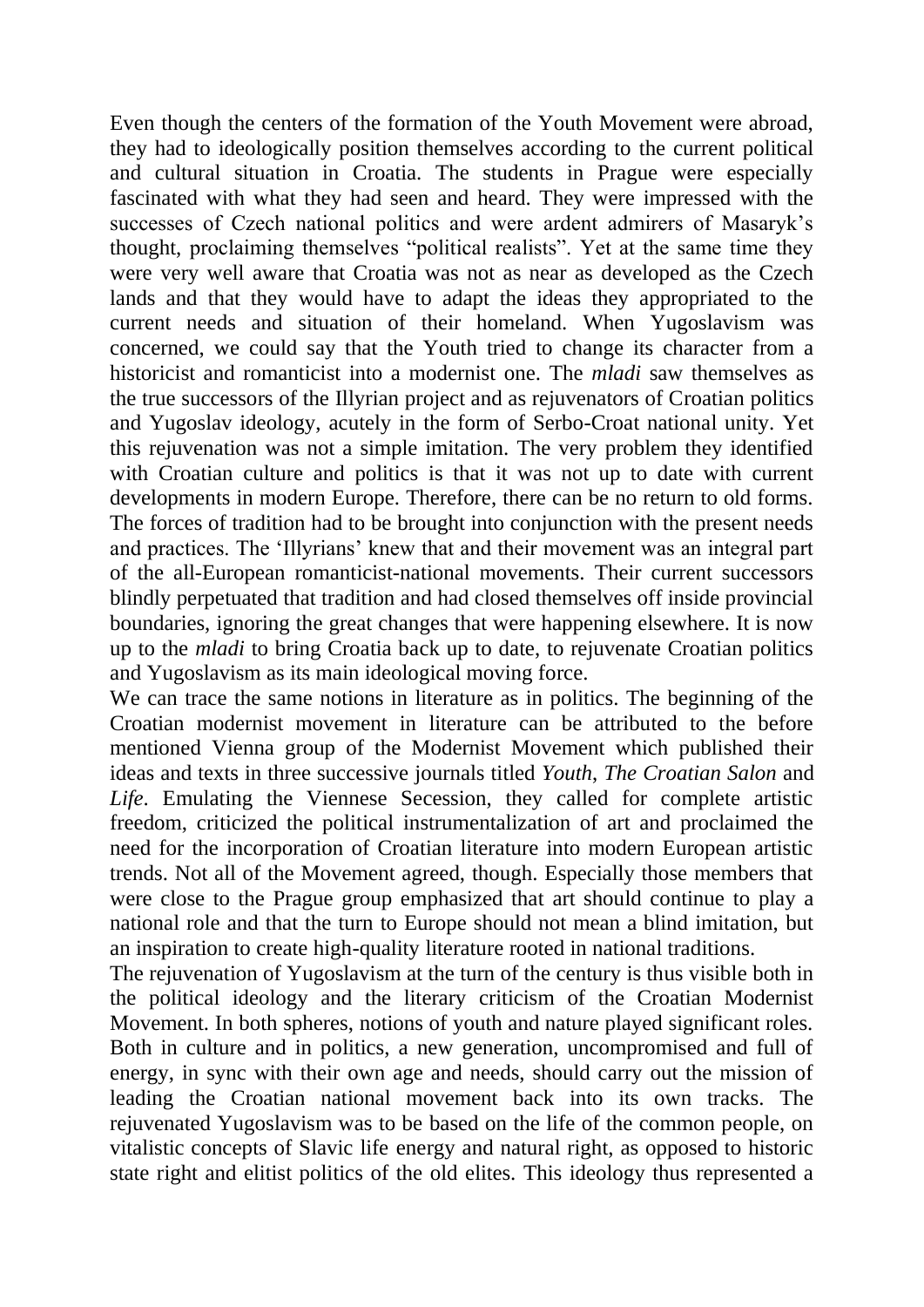Even though the centers of the formation of the Youth Movement were abroad, they had to ideologically position themselves according to the current political and cultural situation in Croatia. The students in Prague were especially fascinated with what they had seen and heard. They were impressed with the successes of Czech national politics and were ardent admirers of Masaryk's thought, proclaiming themselves "political realists". Yet at the same time they were very well aware that Croatia was not as near as developed as the Czech lands and that they would have to adapt the ideas they appropriated to the current needs and situation of their homeland. When Yugoslavism was concerned, we could say that the Youth tried to change its character from a historicist and romanticist into a modernist one. The *mladi* saw themselves as the true successors of the Illyrian project and as rejuvenators of Croatian politics and Yugoslav ideology, acutely in the form of Serbo-Croat national unity. Yet this rejuvenation was not a simple imitation. The very problem they identified with Croatian culture and politics is that it was not up to date with current developments in modern Europe. Therefore, there can be no return to old forms. The forces of tradition had to be brought into conjunction with the present needs and practices. The 'Illyrians' knew that and their movement was an integral part of the all-European romanticist-national movements. Their current successors blindly perpetuated that tradition and had closed themselves off inside provincial boundaries, ignoring the great changes that were happening elsewhere. It is now up to the *mladi* to bring Croatia back up to date, to rejuvenate Croatian politics and Yugoslavism as its main ideological moving force.

We can trace the same notions in literature as in politics. The beginning of the Croatian modernist movement in literature can be attributed to the before mentioned Vienna group of the Modernist Movement which published their ideas and texts in three successive journals titled *Youth*, *The Croatian Salon* and *Life*. Emulating the Viennese Secession, they called for complete artistic freedom, criticized the political instrumentalization of art and proclaimed the need for the incorporation of Croatian literature into modern European artistic trends. Not all of the Movement agreed, though. Especially those members that were close to the Prague group emphasized that art should continue to play a national role and that the turn to Europe should not mean a blind imitation, but an inspiration to create high-quality literature rooted in national traditions.

The rejuvenation of Yugoslavism at the turn of the century is thus visible both in the political ideology and the literary criticism of the Croatian Modernist Movement. In both spheres, notions of youth and nature played significant roles. Both in culture and in politics, a new generation, uncompromised and full of energy, in sync with their own age and needs, should carry out the mission of leading the Croatian national movement back into its own tracks. The rejuvenated Yugoslavism was to be based on the life of the common people, on vitalistic concepts of Slavic life energy and natural right, as opposed to historic state right and elitist politics of the old elites. This ideology thus represented a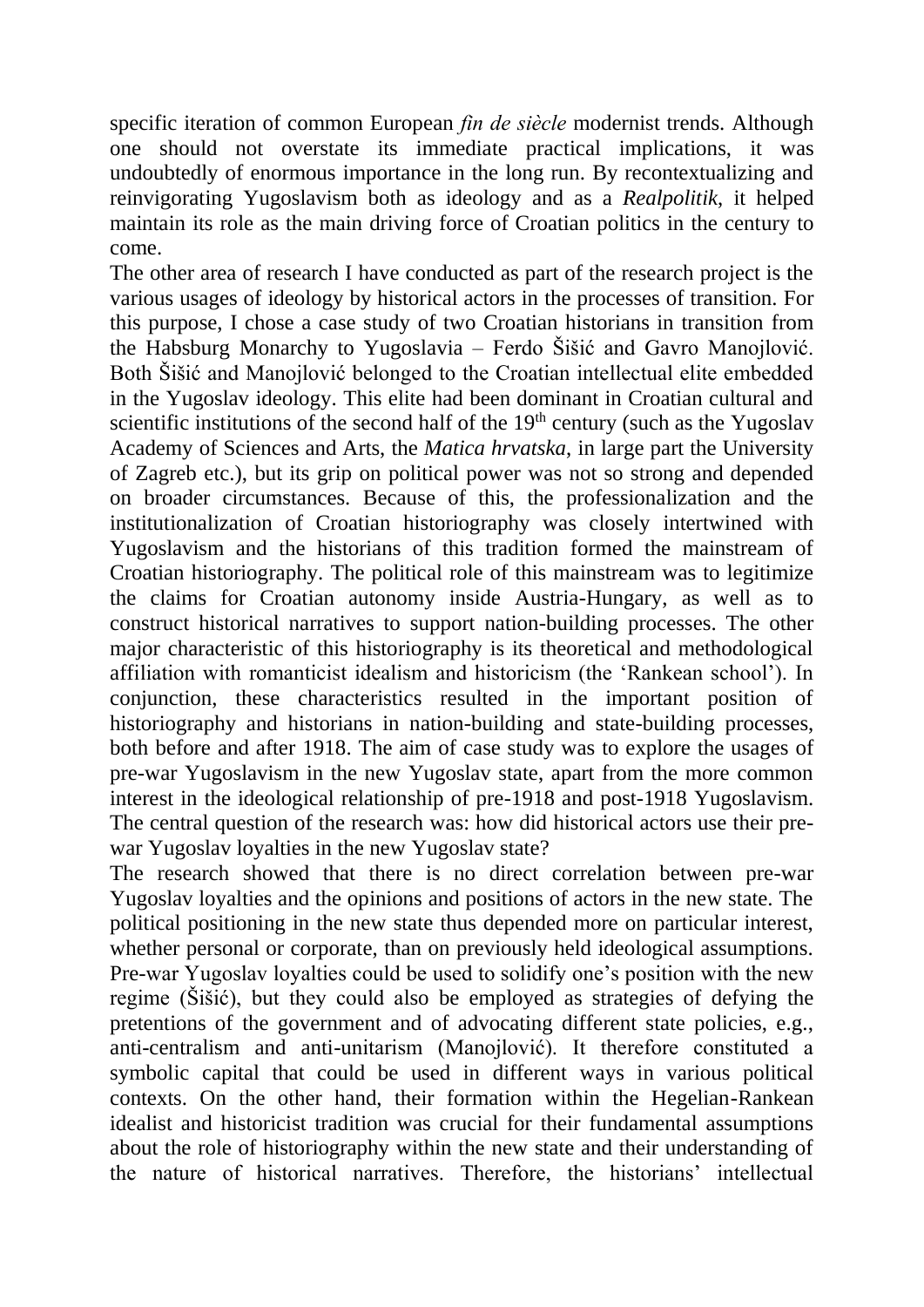specific iteration of common European *fin de siècle* modernist trends. Although one should not overstate its immediate practical implications, it was undoubtedly of enormous importance in the long run. By recontextualizing and reinvigorating Yugoslavism both as ideology and as a *Realpolitik*, it helped maintain its role as the main driving force of Croatian politics in the century to come.

The other area of research I have conducted as part of the research project is the various usages of ideology by historical actors in the processes of transition. For this purpose, I chose a case study of two Croatian historians in transition from the Habsburg Monarchy to Yugoslavia – Ferdo Šišić and Gavro Manojlović. Both Šišić and Manojlović belonged to the Croatian intellectual elite embedded in the Yugoslav ideology. This elite had been dominant in Croatian cultural and scientific institutions of the second half of the  $19<sup>th</sup>$  century (such as the Yugoslav Academy of Sciences and Arts, the *Matica hrvatska*, in large part the University of Zagreb etc.), but its grip on political power was not so strong and depended on broader circumstances. Because of this, the professionalization and the institutionalization of Croatian historiography was closely intertwined with Yugoslavism and the historians of this tradition formed the mainstream of Croatian historiography. The political role of this mainstream was to legitimize the claims for Croatian autonomy inside Austria-Hungary, as well as to construct historical narratives to support nation-building processes. The other major characteristic of this historiography is its theoretical and methodological affiliation with romanticist idealism and historicism (the 'Rankean school'). In conjunction, these characteristics resulted in the important position of historiography and historians in nation-building and state-building processes, both before and after 1918. The aim of case study was to explore the usages of pre-war Yugoslavism in the new Yugoslav state, apart from the more common interest in the ideological relationship of pre-1918 and post-1918 Yugoslavism. The central question of the research was: how did historical actors use their prewar Yugoslav loyalties in the new Yugoslav state?

The research showed that there is no direct correlation between pre-war Yugoslav loyalties and the opinions and positions of actors in the new state. The political positioning in the new state thus depended more on particular interest, whether personal or corporate, than on previously held ideological assumptions. Pre-war Yugoslav loyalties could be used to solidify one's position with the new regime (Šišić), but they could also be employed as strategies of defying the pretentions of the government and of advocating different state policies, e.g., anti-centralism and anti-unitarism (Manojlović). It therefore constituted a symbolic capital that could be used in different ways in various political contexts. On the other hand, their formation within the Hegelian-Rankean idealist and historicist tradition was crucial for their fundamental assumptions about the role of historiography within the new state and their understanding of the nature of historical narratives. Therefore, the historians' intellectual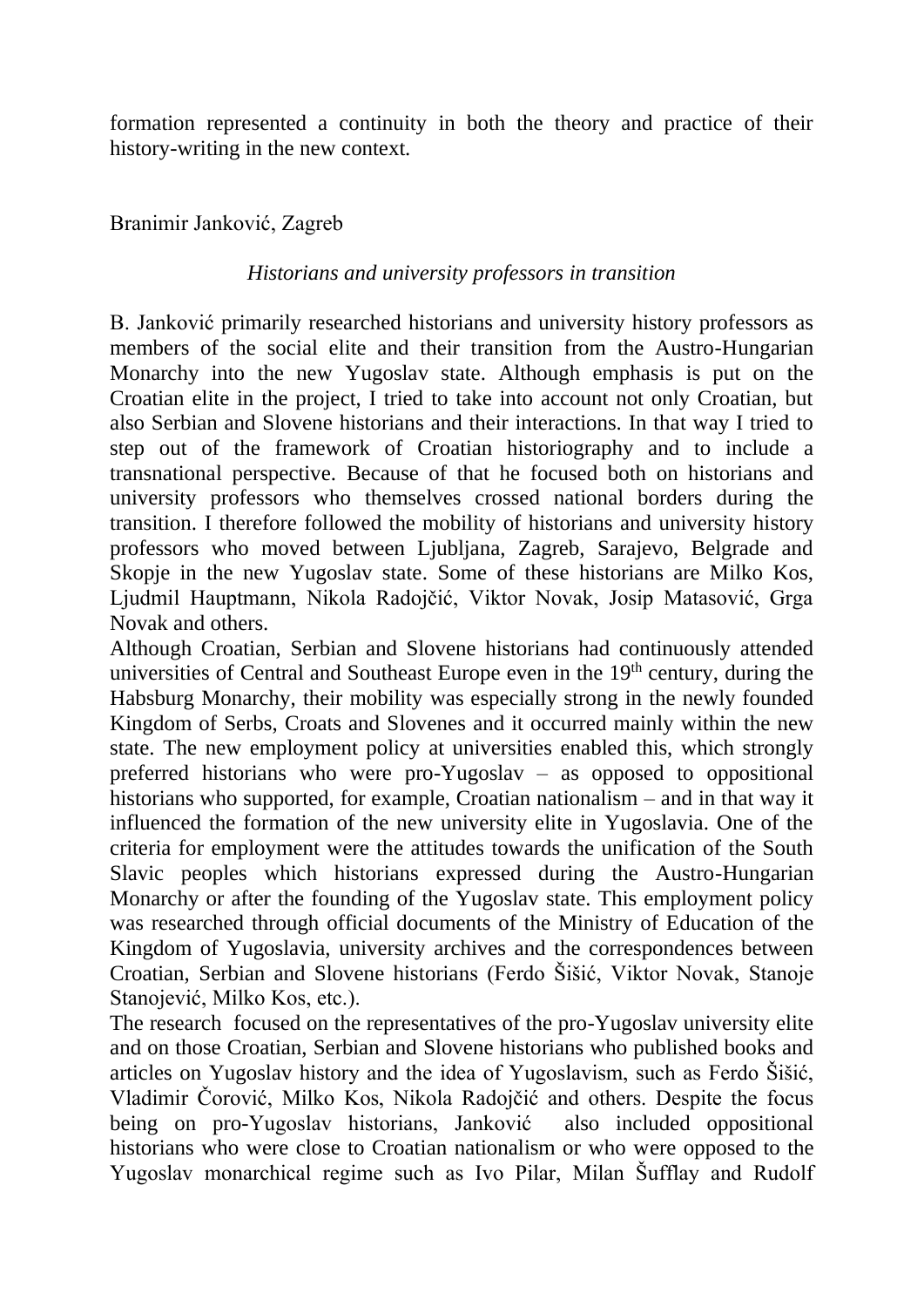formation represented a continuity in both the theory and practice of their history-writing in the new context.

Branimir Janković, Zagreb

## *Historians and university professors in transition*

B. Janković primarily researched historians and university history professors as members of the social elite and their transition from the Austro-Hungarian Monarchy into the new Yugoslav state. Although emphasis is put on the Croatian elite in the project, I tried to take into account not only Croatian, but also Serbian and Slovene historians and their interactions. In that way I tried to step out of the framework of Croatian historiography and to include a transnational perspective. Because of that he focused both on historians and university professors who themselves crossed national borders during the transition. I therefore followed the mobility of historians and university history professors who moved between Ljubljana, Zagreb, Sarajevo, Belgrade and Skopje in the new Yugoslav state. Some of these historians are Milko Kos, Ljudmil Hauptmann, Nikola Radojčić, Viktor Novak, Josip Matasović, Grga Novak and others.

Although Croatian, Serbian and Slovene historians had continuously attended universities of Central and Southeast Europe even in the 19<sup>th</sup> century, during the Habsburg Monarchy, their mobility was especially strong in the newly founded Kingdom of Serbs, Croats and Slovenes and it occurred mainly within the new state. The new employment policy at universities enabled this, which strongly preferred historians who were pro-Yugoslav – as opposed to oppositional historians who supported, for example, Croatian nationalism – and in that way it influenced the formation of the new university elite in Yugoslavia. One of the criteria for employment were the attitudes towards the unification of the South Slavic peoples which historians expressed during the Austro-Hungarian Monarchy or after the founding of the Yugoslav state. This employment policy was researched through official documents of the Ministry of Education of the Kingdom of Yugoslavia, university archives and the correspondences between Croatian, Serbian and Slovene historians (Ferdo Šišić, Viktor Novak, Stanoje Stanojević, Milko Kos, etc.).

The research focused on the representatives of the pro-Yugoslav university elite and on those Croatian, Serbian and Slovene historians who published books and articles on Yugoslav history and the idea of Yugoslavism, such as Ferdo Šišić, Vladimir Čorović, Milko Kos, Nikola Radojčić and others. Despite the focus being on pro-Yugoslav historians, Janković also included oppositional historians who were close to Croatian nationalism or who were opposed to the Yugoslav monarchical regime such as Ivo Pilar, Milan Šufflay and Rudolf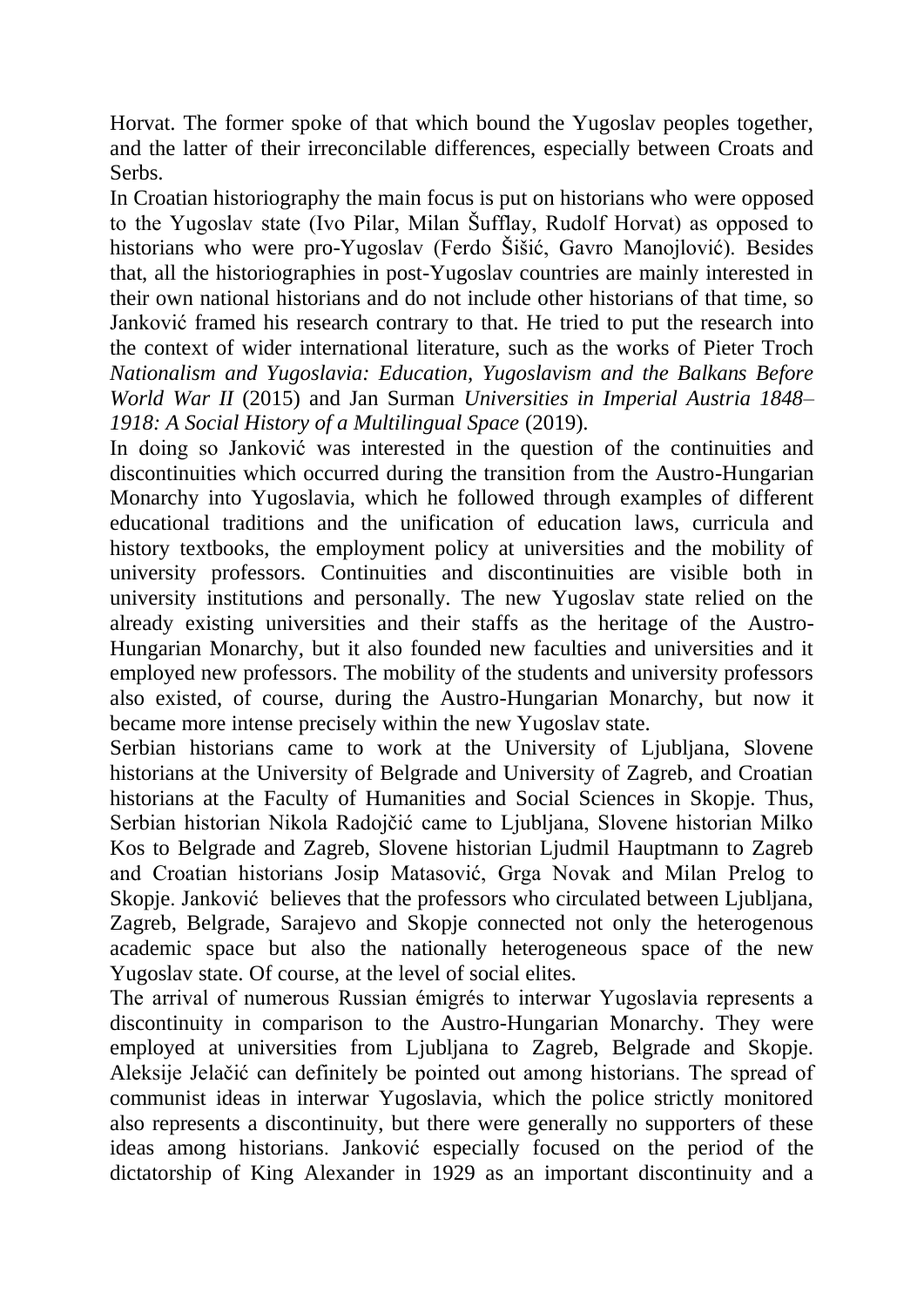Horvat. The former spoke of that which bound the Yugoslav peoples together, and the latter of their irreconcilable differences, especially between Croats and Serbs.

In Croatian historiography the main focus is put on historians who were opposed to the Yugoslav state (Ivo Pilar, Milan Šufflay, Rudolf Horvat) as opposed to historians who were pro-Yugoslav (Ferdo Šišić, Gavro Manojlović). Besides that, all the historiographies in post-Yugoslav countries are mainly interested in their own national historians and do not include other historians of that time, so Janković framed his research contrary to that. He tried to put the research into the context of wider international literature, such as the works of Pieter Troch *Nationalism and Yugoslavia: Education, Yugoslavism and the Balkans Before World War II* (2015) and Jan Surman *Universities in Imperial Austria 1848– 1918: A Social History of a Multilingual Space* (2019).

In doing so Janković was interested in the question of the continuities and discontinuities which occurred during the transition from the Austro-Hungarian Monarchy into Yugoslavia, which he followed through examples of different educational traditions and the unification of education laws, curricula and history textbooks, the employment policy at universities and the mobility of university professors. Continuities and discontinuities are visible both in university institutions and personally. The new Yugoslav state relied on the already existing universities and their staffs as the heritage of the Austro-Hungarian Monarchy, but it also founded new faculties and universities and it employed new professors. The mobility of the students and university professors also existed, of course, during the Austro-Hungarian Monarchy, but now it became more intense precisely within the new Yugoslav state.

Serbian historians came to work at the University of Ljubljana, Slovene historians at the University of Belgrade and University of Zagreb, and Croatian historians at the Faculty of Humanities and Social Sciences in Skopje. Thus, Serbian historian Nikola Radojčić came to Ljubljana, Slovene historian Milko Kos to Belgrade and Zagreb, Slovene historian Ljudmil Hauptmann to Zagreb and Croatian historians Josip Matasović, Grga Novak and Milan Prelog to Skopje. Janković believes that the professors who circulated between Ljubljana, Zagreb, Belgrade, Sarajevo and Skopje connected not only the heterogenous academic space but also the nationally heterogeneous space of the new Yugoslav state. Of course, at the level of social elites.

The arrival of numerous Russian émigrés to interwar Yugoslavia represents a discontinuity in comparison to the Austro-Hungarian Monarchy. They were employed at universities from Ljubljana to Zagreb, Belgrade and Skopje. Aleksije Jelačić can definitely be pointed out among historians. The spread of communist ideas in interwar Yugoslavia, which the police strictly monitored also represents a discontinuity, but there were generally no supporters of these ideas among historians. Janković especially focused on the period of the dictatorship of King Alexander in 1929 as an important discontinuity and a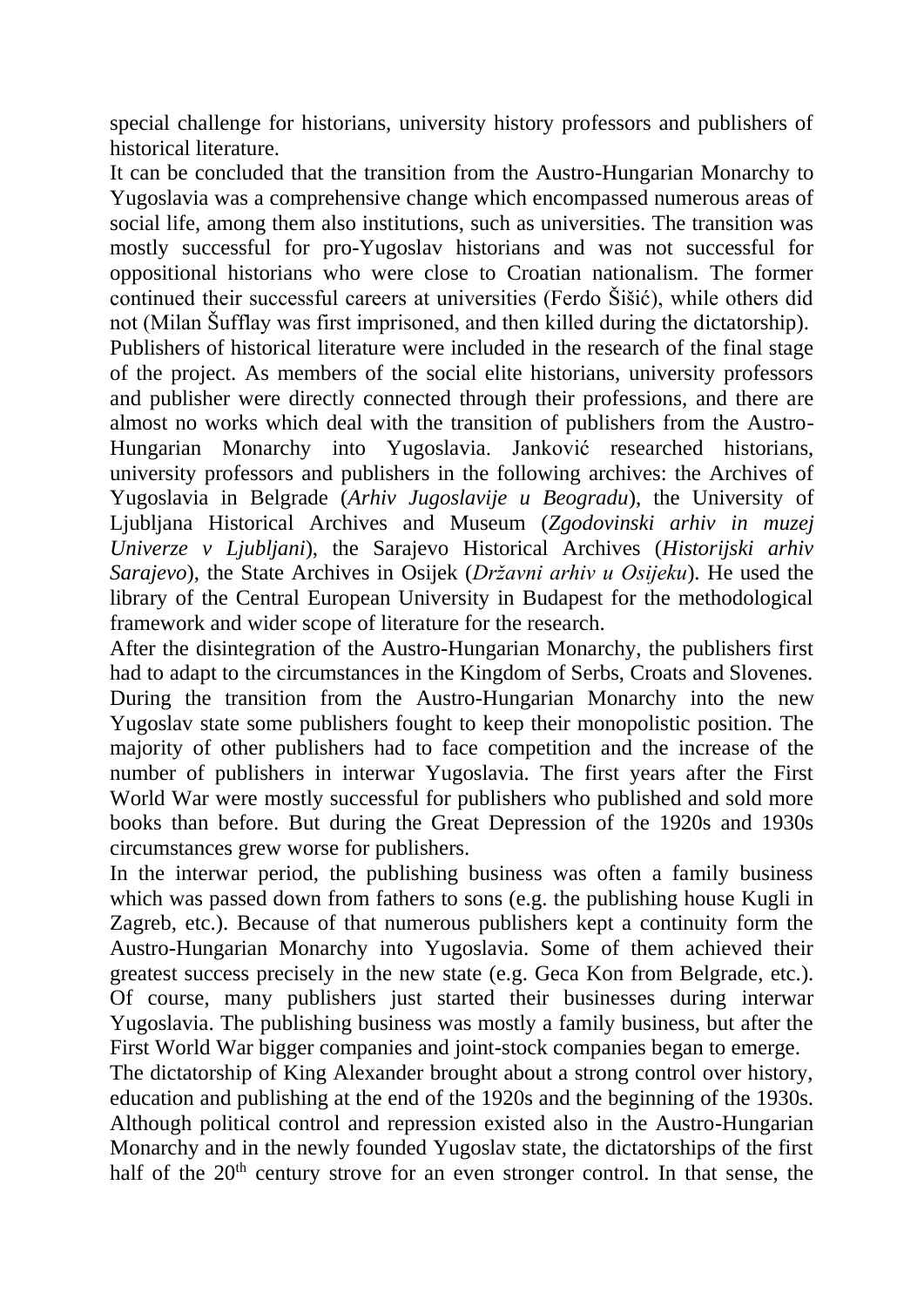special challenge for historians, university history professors and publishers of historical literature.

It can be concluded that the transition from the Austro-Hungarian Monarchy to Yugoslavia was a comprehensive change which encompassed numerous areas of social life, among them also institutions, such as universities. The transition was mostly successful for pro-Yugoslav historians and was not successful for oppositional historians who were close to Croatian nationalism. The former continued their successful careers at universities (Ferdo Šišić), while others did not (Milan Šufflay was first imprisoned, and then killed during the dictatorship).

Publishers of historical literature were included in the research of the final stage of the project. As members of the social elite historians, university professors and publisher were directly connected through their professions, and there are almost no works which deal with the transition of publishers from the Austro-Hungarian Monarchy into Yugoslavia. Janković researched historians, university professors and publishers in the following archives: the Archives of Yugoslavia in Belgrade (*Arhiv Jugoslavije u Beogradu*), the University of Ljubljana Historical Archives and Museum (*Zgodovinski arhiv in muzej Univerze v Ljubljani*), the Sarajevo Historical Archives (*Historijski arhiv Sarajevo*), the State Archives in Osijek (*Državni arhiv u Osijeku*). He used the library of the Central European University in Budapest for the methodological framework and wider scope of literature for the research.

After the disintegration of the Austro-Hungarian Monarchy, the publishers first had to adapt to the circumstances in the Kingdom of Serbs, Croats and Slovenes. During the transition from the Austro-Hungarian Monarchy into the new Yugoslav state some publishers fought to keep their monopolistic position. The majority of other publishers had to face competition and the increase of the number of publishers in interwar Yugoslavia. The first years after the First World War were mostly successful for publishers who published and sold more books than before. But during the Great Depression of the 1920s and 1930s circumstances grew worse for publishers.

In the interwar period, the publishing business was often a family business which was passed down from fathers to sons (e.g. the publishing house Kugli in Zagreb, etc.). Because of that numerous publishers kept a continuity form the Austro-Hungarian Monarchy into Yugoslavia. Some of them achieved their greatest success precisely in the new state (e.g. Geca Kon from Belgrade, etc.). Of course, many publishers just started their businesses during interwar Yugoslavia. The publishing business was mostly a family business, but after the First World War bigger companies and joint-stock companies began to emerge.

The dictatorship of King Alexander brought about a strong control over history, education and publishing at the end of the 1920s and the beginning of the 1930s. Although political control and repression existed also in the Austro-Hungarian Monarchy and in the newly founded Yugoslav state, the dictatorships of the first half of the 20<sup>th</sup> century strove for an even stronger control. In that sense, the